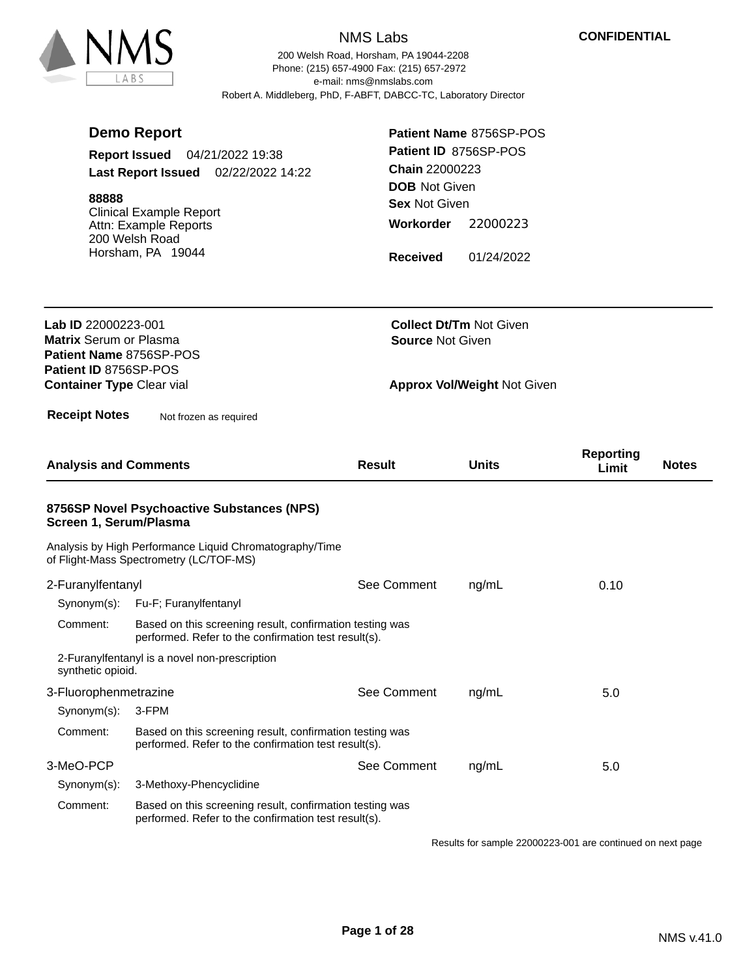

200 Welsh Road, Horsham, PA 19044-2208 e-mail: nms@nmslabs.com Robert A. Middleberg, PhD, F-ABFT, DABCC-TC, Laboratory Director Phone: (215) 657-4900 Fax: (215) 657-2972

|                                                                                 | <b>Demo Report</b>                                                                                               | Patient Name 8756SP-POS |                                        |                           |              |  |
|---------------------------------------------------------------------------------|------------------------------------------------------------------------------------------------------------------|-------------------------|----------------------------------------|---------------------------|--------------|--|
|                                                                                 | <b>Report Issued</b><br>04/21/2022 19:38                                                                         | Patient ID 8756SP-POS   |                                        |                           |              |  |
|                                                                                 | Last Report Issued 02/22/2022 14:22                                                                              |                         | Chain 22000223<br><b>DOB</b> Not Given |                           |              |  |
| 88888                                                                           |                                                                                                                  | <b>Sex Not Given</b>    |                                        |                           |              |  |
|                                                                                 | <b>Clinical Example Report</b><br>Attn: Example Reports<br>200 Welsh Road                                        | Workorder               | 22000223                               |                           |              |  |
|                                                                                 | Horsham, PA 19044                                                                                                | <b>Received</b>         | 01/24/2022                             |                           |              |  |
| Lab ID 22000223-001<br><b>Matrix Serum or Plasma</b><br>Patient Name 8756SP-POS |                                                                                                                  | <b>Source Not Given</b> | <b>Collect Dt/Tm Not Given</b>         |                           |              |  |
| Patient ID 8756SP-POS<br><b>Container Type Clear vial</b>                       |                                                                                                                  |                         | <b>Approx Vol/Weight Not Given</b>     |                           |              |  |
| <b>Receipt Notes</b>                                                            | Not frozen as required                                                                                           |                         |                                        |                           |              |  |
| <b>Analysis and Comments</b>                                                    |                                                                                                                  | <b>Result</b>           | <b>Units</b>                           | <b>Reporting</b><br>Limit | <b>Notes</b> |  |
| Screen 1, Serum/Plasma                                                          | 8756SP Novel Psychoactive Substances (NPS)                                                                       |                         |                                        |                           |              |  |
|                                                                                 | Analysis by High Performance Liquid Chromatography/Time<br>of Flight-Mass Spectrometry (LC/TOF-MS)               |                         |                                        |                           |              |  |
| 2-Furanylfentanyl                                                               |                                                                                                                  | See Comment             | ng/mL                                  | 0.10                      |              |  |
|                                                                                 | Synonym(s): Fu-F; Furanylfentanyl                                                                                |                         |                                        |                           |              |  |
| Comment:                                                                        | Based on this screening result, confirmation testing was<br>performed. Refer to the confirmation test result(s). |                         |                                        |                           |              |  |
| synthetic opioid.                                                               | 2-Furanylfentanyl is a novel non-prescription                                                                    |                         |                                        |                           |              |  |
| 3-Fluorophenmetrazine                                                           |                                                                                                                  | See Comment             | ng/mL                                  | 5.0                       |              |  |
| Synonym(s):                                                                     | 3-FPM                                                                                                            |                         |                                        |                           |              |  |
| Comment:                                                                        | Based on this screening result, confirmation testing was<br>performed. Refer to the confirmation test result(s). |                         |                                        |                           |              |  |
| 3-MeO-PCP                                                                       |                                                                                                                  | See Comment             | ng/mL                                  | 5.0                       |              |  |
| Synonym(s):                                                                     | 3-Methoxy-Phencyclidine                                                                                          |                         |                                        |                           |              |  |
| Comment:                                                                        | Based on this screening result, confirmation testing was<br>performed. Refer to the confirmation test result(s). |                         |                                        |                           |              |  |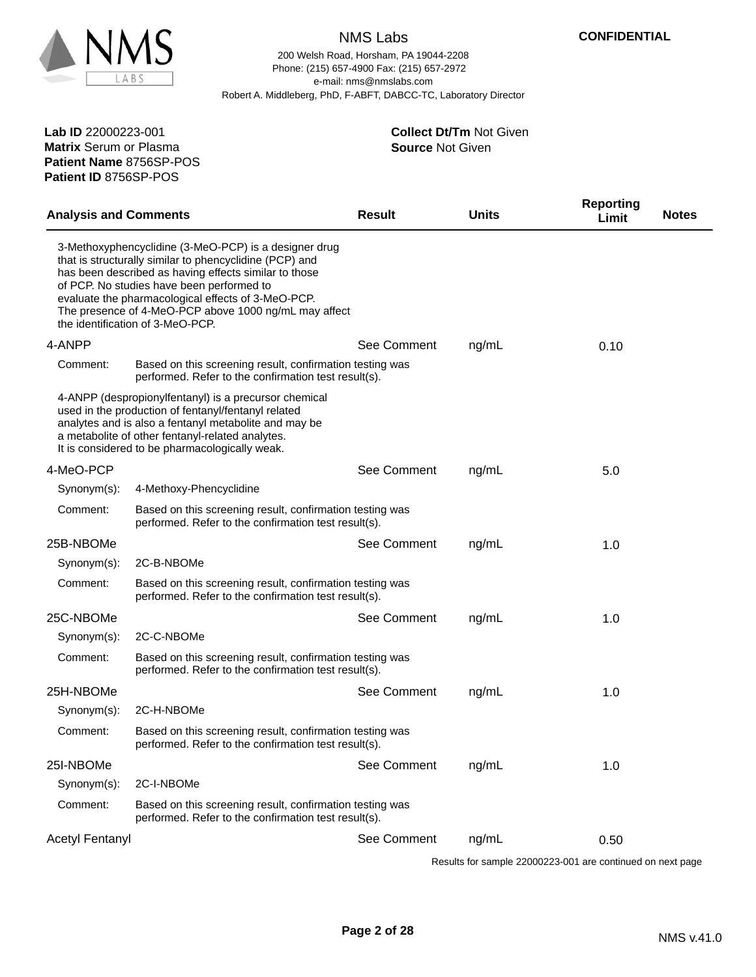

**Patient Name** 8756SP-POS

**Patient ID** 8756SP-POS

# NMS Labs

200 Welsh Road, Horsham, PA 19044-2208 e-mail: nms@nmslabs.com Robert A. Middleberg, PhD, F-ABFT, DABCC-TC, Laboratory Director Phone: (215) 657-4900 Fax: (215) 657-2972

**Source** Not Given

**Collect Dt/Tm** Not Given

| <b>Analysis and Comments</b> |                                                                                                                                                                                                                                                                                                                                                                           | <b>Result</b> | <b>Units</b> | <b>Reporting</b><br><b>Notes</b><br>Limit |  |
|------------------------------|---------------------------------------------------------------------------------------------------------------------------------------------------------------------------------------------------------------------------------------------------------------------------------------------------------------------------------------------------------------------------|---------------|--------------|-------------------------------------------|--|
|                              | 3-Methoxyphencyclidine (3-MeO-PCP) is a designer drug<br>that is structurally similar to phencyclidine (PCP) and<br>has been described as having effects similar to those<br>of PCP. No studies have been performed to<br>evaluate the pharmacological effects of 3-MeO-PCP.<br>The presence of 4-MeO-PCP above 1000 ng/mL may affect<br>the identification of 3-MeO-PCP. |               |              |                                           |  |
| 4-ANPP                       |                                                                                                                                                                                                                                                                                                                                                                           | See Comment   | ng/mL        | 0.10                                      |  |
| Comment:                     | Based on this screening result, confirmation testing was<br>performed. Refer to the confirmation test result(s).                                                                                                                                                                                                                                                          |               |              |                                           |  |
|                              | 4-ANPP (despropionylfentanyl) is a precursor chemical<br>used in the production of fentanyl/fentanyl related<br>analytes and is also a fentanyl metabolite and may be<br>a metabolite of other fentanyl-related analytes.<br>It is considered to be pharmacologically weak.                                                                                               |               |              |                                           |  |
| 4-MeO-PCP                    |                                                                                                                                                                                                                                                                                                                                                                           | See Comment   | ng/mL        | 5.0                                       |  |
| $Synonym(s)$ :               | 4-Methoxy-Phencyclidine                                                                                                                                                                                                                                                                                                                                                   |               |              |                                           |  |
| Comment:                     | Based on this screening result, confirmation testing was<br>performed. Refer to the confirmation test result(s).                                                                                                                                                                                                                                                          |               |              |                                           |  |
| 25B-NBOMe                    |                                                                                                                                                                                                                                                                                                                                                                           | See Comment   | ng/mL        | 1.0                                       |  |
| Synonym(s):                  | 2C-B-NBOMe                                                                                                                                                                                                                                                                                                                                                                |               |              |                                           |  |
| Comment:                     | Based on this screening result, confirmation testing was<br>performed. Refer to the confirmation test result(s).                                                                                                                                                                                                                                                          |               |              |                                           |  |
| 25C-NBOMe                    |                                                                                                                                                                                                                                                                                                                                                                           | See Comment   | ng/mL        | 1.0                                       |  |
| Synonym(s):                  | 2C-C-NBOMe                                                                                                                                                                                                                                                                                                                                                                |               |              |                                           |  |
| Comment:                     | Based on this screening result, confirmation testing was<br>performed. Refer to the confirmation test result(s).                                                                                                                                                                                                                                                          |               |              |                                           |  |
| 25H-NBOMe                    |                                                                                                                                                                                                                                                                                                                                                                           | See Comment   | ng/mL        | 1.0                                       |  |
| Synonym(s):                  | 2C-H-NBOMe                                                                                                                                                                                                                                                                                                                                                                |               |              |                                           |  |
| Comment:                     | Based on this screening result, confirmation testing was<br>performed. Refer to the confirmation test result(s).                                                                                                                                                                                                                                                          |               |              |                                           |  |
| 25I-NBOMe                    |                                                                                                                                                                                                                                                                                                                                                                           | See Comment   | ng/mL        | 1.0                                       |  |
| Synonym(s):                  | 2C-I-NBOMe                                                                                                                                                                                                                                                                                                                                                                |               |              |                                           |  |
| Comment:                     | Based on this screening result, confirmation testing was<br>performed. Refer to the confirmation test result(s).                                                                                                                                                                                                                                                          |               |              |                                           |  |
| <b>Acetyl Fentanyl</b>       |                                                                                                                                                                                                                                                                                                                                                                           | See Comment   | ng/mL        | 0.50                                      |  |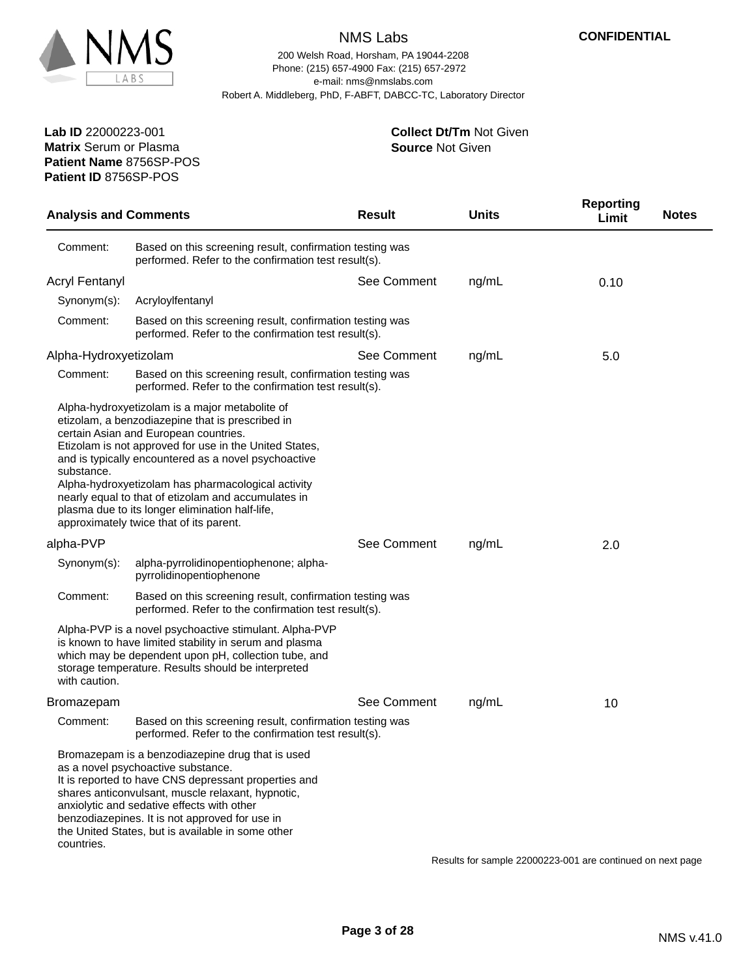

200 Welsh Road, Horsham, PA 19044-2208 e-mail: nms@nmslabs.com Robert A. Middleberg, PhD, F-ABFT, DABCC-TC, Laboratory Director Phone: (215) 657-4900 Fax: (215) 657-2972

> **Source** Not Given **Collect Dt/Tm** Not Given

**Patient Name** 8756SP-POS **Lab ID** 22000223-001 **Matrix** Serum or Plasma **Patient ID** 8756SP-POS

| <b>Analysis and Comments</b> |                                                                                                                                                                                                                                                                                                                                                                                                                                                                          | <b>Result</b> | <b>Units</b> | <b>Reporting</b><br><b>Notes</b><br>Limit |
|------------------------------|--------------------------------------------------------------------------------------------------------------------------------------------------------------------------------------------------------------------------------------------------------------------------------------------------------------------------------------------------------------------------------------------------------------------------------------------------------------------------|---------------|--------------|-------------------------------------------|
| Comment:                     | Based on this screening result, confirmation testing was<br>performed. Refer to the confirmation test result(s).                                                                                                                                                                                                                                                                                                                                                         |               |              |                                           |
| <b>Acryl Fentanyl</b>        |                                                                                                                                                                                                                                                                                                                                                                                                                                                                          | See Comment   | ng/mL        | 0.10                                      |
| Synonym(s):                  | Acryloylfentanyl                                                                                                                                                                                                                                                                                                                                                                                                                                                         |               |              |                                           |
| Comment:                     | Based on this screening result, confirmation testing was<br>performed. Refer to the confirmation test result(s).                                                                                                                                                                                                                                                                                                                                                         |               |              |                                           |
| Alpha-Hydroxyetizolam        |                                                                                                                                                                                                                                                                                                                                                                                                                                                                          | See Comment   | ng/mL        | 5.0                                       |
| Comment:                     | Based on this screening result, confirmation testing was<br>performed. Refer to the confirmation test result(s).                                                                                                                                                                                                                                                                                                                                                         |               |              |                                           |
| substance.                   | Alpha-hydroxyetizolam is a major metabolite of<br>etizolam, a benzodiazepine that is prescribed in<br>certain Asian and European countries.<br>Etizolam is not approved for use in the United States,<br>and is typically encountered as a novel psychoactive<br>Alpha-hydroxyetizolam has pharmacological activity<br>nearly equal to that of etizolam and accumulates in<br>plasma due to its longer elimination half-life,<br>approximately twice that of its parent. |               |              |                                           |
| alpha-PVP                    |                                                                                                                                                                                                                                                                                                                                                                                                                                                                          | See Comment   | ng/mL        | 2.0                                       |
| Synonym(s):                  | alpha-pyrrolidinopentiophenone; alpha-<br>pyrrolidinopentiophenone                                                                                                                                                                                                                                                                                                                                                                                                       |               |              |                                           |
| Comment:                     | Based on this screening result, confirmation testing was<br>performed. Refer to the confirmation test result(s).                                                                                                                                                                                                                                                                                                                                                         |               |              |                                           |
| with caution.                | Alpha-PVP is a novel psychoactive stimulant. Alpha-PVP<br>is known to have limited stability in serum and plasma<br>which may be dependent upon pH, collection tube, and<br>storage temperature. Results should be interpreted                                                                                                                                                                                                                                           |               |              |                                           |
| <b>Bromazepam</b>            |                                                                                                                                                                                                                                                                                                                                                                                                                                                                          | See Comment   | ng/mL        | 10                                        |
| Comment:                     | Based on this screening result, confirmation testing was<br>performed. Refer to the confirmation test result(s).                                                                                                                                                                                                                                                                                                                                                         |               |              |                                           |
| countries.                   | Bromazepam is a benzodiazepine drug that is used<br>as a novel psychoactive substance.<br>It is reported to have CNS depressant properties and<br>shares anticonvulsant, muscle relaxant, hypnotic,<br>anxiolytic and sedative effects with other<br>benzodiazepines. It is not approved for use in<br>the United States, but is available in some other                                                                                                                 |               |              |                                           |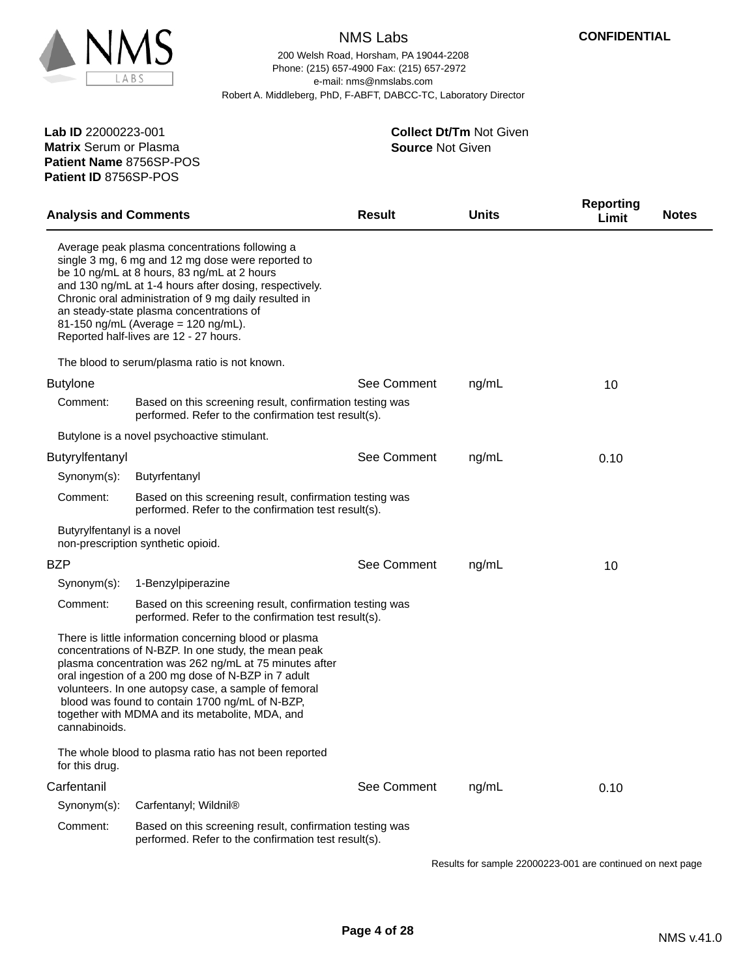

200 Welsh Road, Horsham, PA 19044-2208 e-mail: nms@nmslabs.com Robert A. Middleberg, PhD, F-ABFT, DABCC-TC, Laboratory Director Phone: (215) 657-4900 Fax: (215) 657-2972

**Patient Name** 8756SP-POS **Lab ID** 22000223-001 **Matrix** Serum or Plasma **Patient ID** 8756SP-POS

#### **Source** Not Given **Collect Dt/Tm** Not Given

| <b>Analysis and Comments</b> |                                                                                                                                                                                                                                                                                                                                                                                                    | <b>Result</b> | <b>Units</b> | <b>Reporting</b><br><b>Notes</b><br>Limit |
|------------------------------|----------------------------------------------------------------------------------------------------------------------------------------------------------------------------------------------------------------------------------------------------------------------------------------------------------------------------------------------------------------------------------------------------|---------------|--------------|-------------------------------------------|
|                              | Average peak plasma concentrations following a<br>single 3 mg, 6 mg and 12 mg dose were reported to<br>be 10 ng/mL at 8 hours, 83 ng/mL at 2 hours<br>and 130 ng/mL at 1-4 hours after dosing, respectively.<br>Chronic oral administration of 9 mg daily resulted in<br>an steady-state plasma concentrations of<br>81-150 ng/mL (Average = 120 ng/mL).<br>Reported half-lives are 12 - 27 hours. |               |              |                                           |
|                              | The blood to serum/plasma ratio is not known.                                                                                                                                                                                                                                                                                                                                                      |               |              |                                           |
| <b>Butylone</b>              |                                                                                                                                                                                                                                                                                                                                                                                                    | See Comment   | ng/mL        | 10                                        |
| Comment:                     | Based on this screening result, confirmation testing was<br>performed. Refer to the confirmation test result(s).                                                                                                                                                                                                                                                                                   |               |              |                                           |
|                              | Butylone is a novel psychoactive stimulant.                                                                                                                                                                                                                                                                                                                                                        |               |              |                                           |
| Butyrylfentanyl              |                                                                                                                                                                                                                                                                                                                                                                                                    | See Comment   | ng/mL        | 0.10                                      |
| Synonym(s):                  | Butyrfentanyl                                                                                                                                                                                                                                                                                                                                                                                      |               |              |                                           |
| Comment:                     | Based on this screening result, confirmation testing was<br>performed. Refer to the confirmation test result(s).                                                                                                                                                                                                                                                                                   |               |              |                                           |
| Butyrylfentanyl is a novel   | non-prescription synthetic opioid.                                                                                                                                                                                                                                                                                                                                                                 |               |              |                                           |
| BZP                          |                                                                                                                                                                                                                                                                                                                                                                                                    | See Comment   | ng/mL        | 10                                        |
| Synonym(s):                  | 1-Benzylpiperazine                                                                                                                                                                                                                                                                                                                                                                                 |               |              |                                           |
| Comment:                     | Based on this screening result, confirmation testing was<br>performed. Refer to the confirmation test result(s).                                                                                                                                                                                                                                                                                   |               |              |                                           |
| cannabinoids.                | There is little information concerning blood or plasma<br>concentrations of N-BZP. In one study, the mean peak<br>plasma concentration was 262 ng/mL at 75 minutes after<br>oral ingestion of a 200 mg dose of N-BZP in 7 adult<br>volunteers. In one autopsy case, a sample of femoral<br>blood was found to contain 1700 ng/mL of N-BZP,<br>together with MDMA and its metabolite, MDA, and      |               |              |                                           |
| for this drug.               | The whole blood to plasma ratio has not been reported                                                                                                                                                                                                                                                                                                                                              |               |              |                                           |
| Carfentanil                  |                                                                                                                                                                                                                                                                                                                                                                                                    | See Comment   | ng/mL        | 0.10                                      |
| Synonym(s):                  | Carfentanyl; Wildnil®                                                                                                                                                                                                                                                                                                                                                                              |               |              |                                           |
| Comment:                     | Based on this screening result, confirmation testing was<br>performed. Refer to the confirmation test result(s).                                                                                                                                                                                                                                                                                   |               |              |                                           |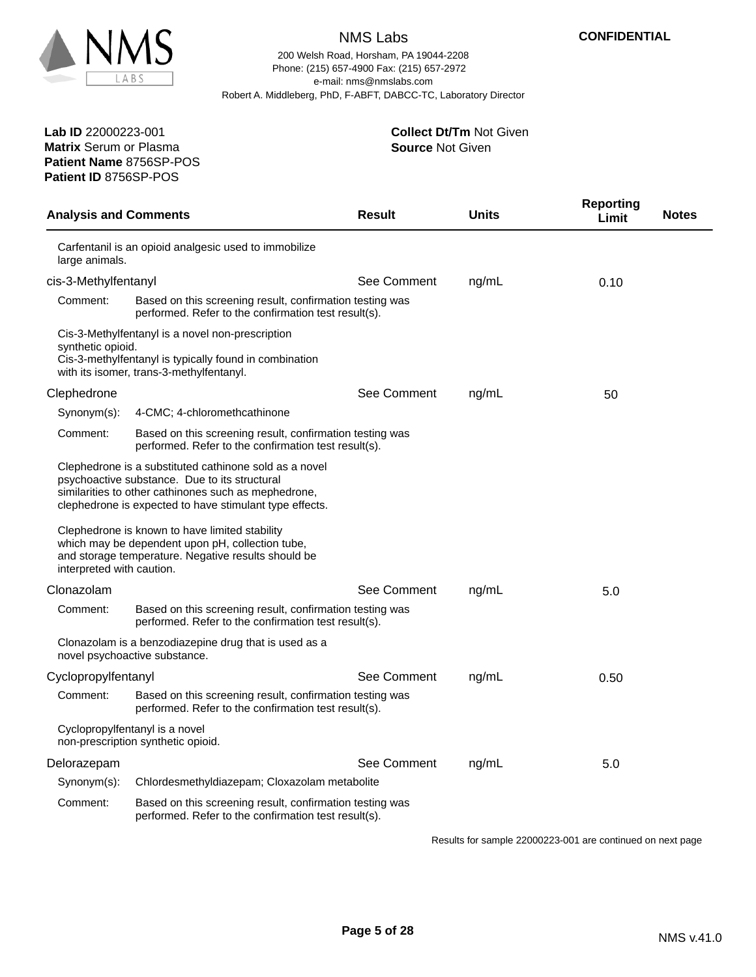

**Patient Name** 8756SP-POS

**Patient ID** 8756SP-POS

### NMS Labs

200 Welsh Road, Horsham, PA 19044-2208 e-mail: nms@nmslabs.com Robert A. Middleberg, PhD, F-ABFT, DABCC-TC, Laboratory Director Phone: (215) 657-4900 Fax: (215) 657-2972

> **Source** Not Given **Collect Dt/Tm** Not Given

Analysis and Comments **Result Reporting Units Limit Notes** Carfentanil is an opioid analgesic used to immobilize large animals. cis-3-Methylfentanyl See Comment ng/mL 0.10 Comment: Based on this screening result, confirmation testing was performed. Refer to the confirmation test result(s). Cis-3-Methylfentanyl is a novel non-prescription synthetic opioid. Cis-3-methylfentanyl is typically found in combination with its isomer, trans-3-methylfentanyl. Clephedrone **See Comment** ng/mL 50 Synonym(s): 4-CMC; 4-chloromethcathinone Comment: Based on this screening result, confirmation testing was performed. Refer to the confirmation test result(s). Clephedrone is a substituted cathinone sold as a novel psychoactive substance. Due to its structural similarities to other cathinones such as mephedrone, clephedrone is expected to have stimulant type effects. Clephedrone is known to have limited stability which may be dependent upon pH, collection tube, and storage temperature. Negative results should be interpreted with caution. Clonazolam See Comment ng/mL 5.0 Comment: Based on this screening result, confirmation testing was performed. Refer to the confirmation test result(s). Clonazolam is a benzodiazepine drug that is used as a novel psychoactive substance. Cyclopropylfentanyl See Comment ng/mL 0.50 Comment: Based on this screening result, confirmation testing was performed. Refer to the confirmation test result(s). Cyclopropylfentanyl is a novel non-prescription synthetic opioid. Delorazepam 5.0 Synonym(s): Chlordesmethyldiazepam; Cloxazolam metabolite Comment: Based on this screening result, confirmation testing was performed. Refer to the confirmation test result(s).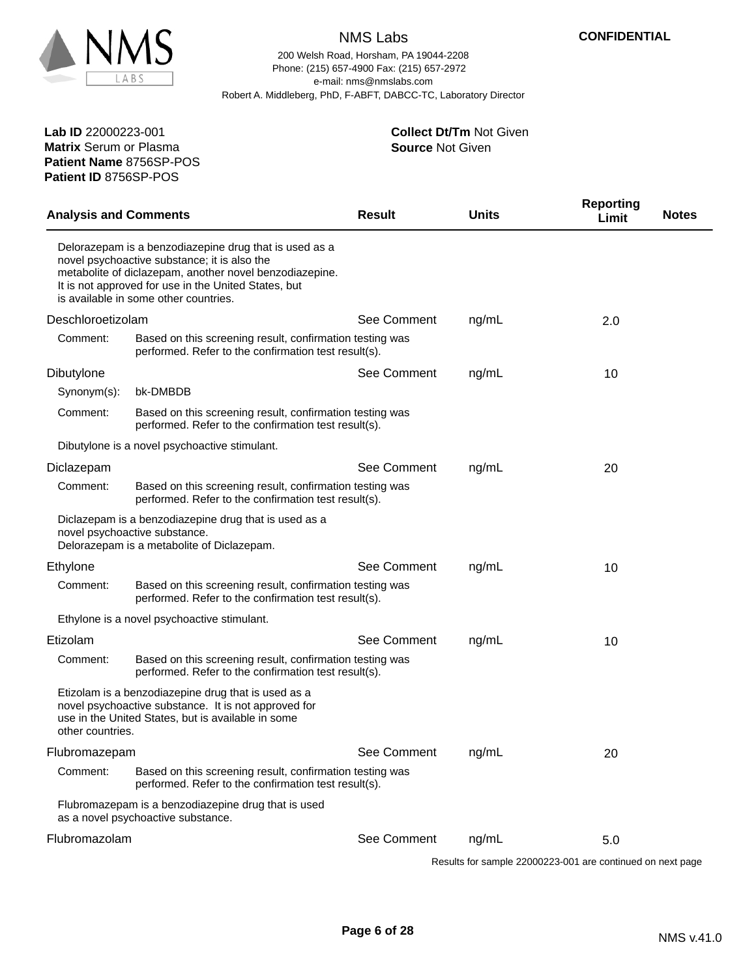

200 Welsh Road, Horsham, PA 19044-2208 e-mail: nms@nmslabs.com Robert A. Middleberg, PhD, F-ABFT, DABCC-TC, Laboratory Director Phone: (215) 657-4900 Fax: (215) 657-2972

**Patient Name** 8756SP-POS **Lab ID** 22000223-001 **Matrix** Serum or Plasma **Patient ID** 8756SP-POS

#### **Source** Not Given **Collect Dt/Tm** Not Given

| <b>Analysis and Comments</b> |                                                                                                                                                                                                                                                                    | <b>Result</b> | <b>Units</b> | <b>Reporting</b><br><b>Notes</b><br>Limit |  |
|------------------------------|--------------------------------------------------------------------------------------------------------------------------------------------------------------------------------------------------------------------------------------------------------------------|---------------|--------------|-------------------------------------------|--|
|                              | Delorazepam is a benzodiazepine drug that is used as a<br>novel psychoactive substance; it is also the<br>metabolite of diclazepam, another novel benzodiazepine.<br>It is not approved for use in the United States, but<br>is available in some other countries. |               |              |                                           |  |
| Deschloroetizolam            |                                                                                                                                                                                                                                                                    | See Comment   | ng/mL        | 2.0                                       |  |
| Comment:                     | Based on this screening result, confirmation testing was<br>performed. Refer to the confirmation test result(s).                                                                                                                                                   |               |              |                                           |  |
| Dibutylone                   |                                                                                                                                                                                                                                                                    | See Comment   | ng/mL        | 10                                        |  |
| Synonym(s):                  | bk-DMBDB                                                                                                                                                                                                                                                           |               |              |                                           |  |
| Comment:                     | Based on this screening result, confirmation testing was<br>performed. Refer to the confirmation test result(s).                                                                                                                                                   |               |              |                                           |  |
|                              | Dibutylone is a novel psychoactive stimulant.                                                                                                                                                                                                                      |               |              |                                           |  |
| Diclazepam                   |                                                                                                                                                                                                                                                                    | See Comment   | ng/mL        | 20                                        |  |
| Comment:                     | Based on this screening result, confirmation testing was<br>performed. Refer to the confirmation test result(s).                                                                                                                                                   |               |              |                                           |  |
|                              | Diclazepam is a benzodiazepine drug that is used as a<br>novel psychoactive substance.<br>Delorazepam is a metabolite of Diclazepam.                                                                                                                               |               |              |                                           |  |
| Ethylone                     |                                                                                                                                                                                                                                                                    | See Comment   | ng/mL        | 10                                        |  |
| Comment:                     | Based on this screening result, confirmation testing was<br>performed. Refer to the confirmation test result(s).                                                                                                                                                   |               |              |                                           |  |
|                              | Ethylone is a novel psychoactive stimulant.                                                                                                                                                                                                                        |               |              |                                           |  |
| Etizolam                     |                                                                                                                                                                                                                                                                    | See Comment   | ng/mL        | 10                                        |  |
| Comment:                     | Based on this screening result, confirmation testing was<br>performed. Refer to the confirmation test result(s).                                                                                                                                                   |               |              |                                           |  |
| other countries.             | Etizolam is a benzodiazepine drug that is used as a<br>novel psychoactive substance. It is not approved for<br>use in the United States, but is available in some                                                                                                  |               |              |                                           |  |
| Flubromazepam                |                                                                                                                                                                                                                                                                    | See Comment   | ng/mL        | 20                                        |  |
| Comment:                     | Based on this screening result, confirmation testing was<br>performed. Refer to the confirmation test result(s).                                                                                                                                                   |               |              |                                           |  |
|                              | Flubromazepam is a benzodiazepine drug that is used<br>as a novel psychoactive substance.                                                                                                                                                                          |               |              |                                           |  |
| Flubromazolam                |                                                                                                                                                                                                                                                                    | See Comment   | ng/mL        | 5.0                                       |  |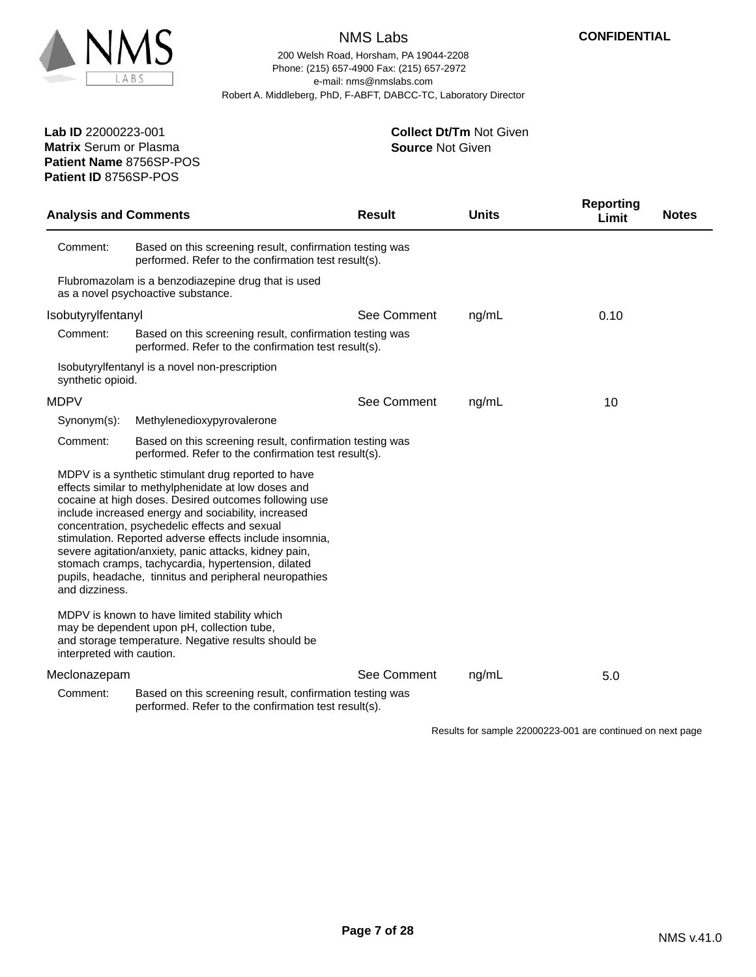

**Patient Name** 8756SP-POS

**Patient ID** 8756SP-POS

# NMS Labs

200 Welsh Road, Horsham, PA 19044-2208 e-mail: nms@nmslabs.com Robert A. Middleberg, PhD, F-ABFT, DABCC-TC, Laboratory Director Phone: (215) 657-4900 Fax: (215) 657-2972

> **Source** Not Given **Collect Dt/Tm** Not Given

Analysis and Comments **Result Reporting Units Limit Notes** Results for sample 22000223-001 are continued on next page Comment: Based on this screening result, confirmation testing was performed. Refer to the confirmation test result(s). Flubromazolam is a benzodiazepine drug that is used as a novel psychoactive substance. Isobutyrylfentanyl See Comment ng/mL 0.10 Comment: Based on this screening result, confirmation testing was performed. Refer to the confirmation test result(s). Isobutyrylfentanyl is a novel non-prescription synthetic opioid. MDPV 8ee Comment ng/mL 10 Synonym(s): Methylenedioxypyrovalerone Comment: Based on this screening result, confirmation testing was performed. Refer to the confirmation test result(s). MDPV is a synthetic stimulant drug reported to have effects similar to methylphenidate at low doses and cocaine at high doses. Desired outcomes following use include increased energy and sociability, increased concentration, psychedelic effects and sexual stimulation. Reported adverse effects include insomnia, severe agitation/anxiety, panic attacks, kidney pain, stomach cramps, tachycardia, hypertension, dilated pupils, headache, tinnitus and peripheral neuropathies and dizziness. MDPV is known to have limited stability which may be dependent upon pH, collection tube, and storage temperature. Negative results should be interpreted with caution. Meclonazepam 6.0 mm in the See Comment ng/mL 5.0 Comment: Based on this screening result, confirmation testing was performed. Refer to the confirmation test result(s).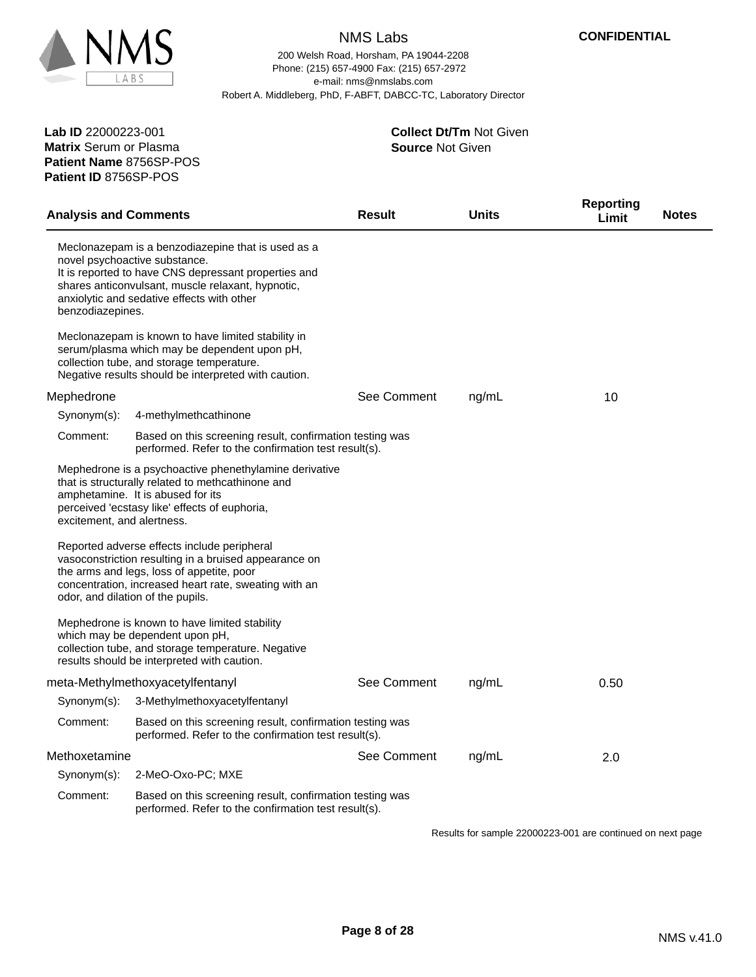

200 Welsh Road, Horsham, PA 19044-2208 e-mail: nms@nmslabs.com Robert A. Middleberg, PhD, F-ABFT, DABCC-TC, Laboratory Director Phone: (215) 657-4900 Fax: (215) 657-2972

**Patient Name** 8756SP-POS **Lab ID** 22000223-001 **Matrix** Serum or Plasma **Patient ID** 8756SP-POS

#### **Source** Not Given **Collect Dt/Tm** Not Given

| <b>Analysis and Comments</b> |                                                                                                                                                                                                                                                 | <b>Result</b> | <b>Units</b> | <b>Reporting</b><br><b>Notes</b><br>Limit |
|------------------------------|-------------------------------------------------------------------------------------------------------------------------------------------------------------------------------------------------------------------------------------------------|---------------|--------------|-------------------------------------------|
| benzodiazepines.             | Meclonazepam is a benzodiazepine that is used as a<br>novel psychoactive substance.<br>It is reported to have CNS depressant properties and<br>shares anticonvulsant, muscle relaxant, hypnotic,<br>anxiolytic and sedative effects with other  |               |              |                                           |
|                              | Meclonazepam is known to have limited stability in<br>serum/plasma which may be dependent upon pH,<br>collection tube, and storage temperature.<br>Negative results should be interpreted with caution.                                         |               |              |                                           |
| Mephedrone                   |                                                                                                                                                                                                                                                 | See Comment   | ng/mL        | 10                                        |
| Synonym(s):                  | 4-methylmethcathinone                                                                                                                                                                                                                           |               |              |                                           |
| Comment:                     | Based on this screening result, confirmation testing was<br>performed. Refer to the confirmation test result(s).                                                                                                                                |               |              |                                           |
| excitement, and alertness.   | Mephedrone is a psychoactive phenethylamine derivative<br>that is structurally related to methcathinone and<br>amphetamine. It is abused for its<br>perceived 'ecstasy like' effects of euphoria,                                               |               |              |                                           |
|                              | Reported adverse effects include peripheral<br>vasoconstriction resulting in a bruised appearance on<br>the arms and legs, loss of appetite, poor<br>concentration, increased heart rate, sweating with an<br>odor, and dilation of the pupils. |               |              |                                           |
|                              | Mephedrone is known to have limited stability<br>which may be dependent upon pH,<br>collection tube, and storage temperature. Negative<br>results should be interpreted with caution.                                                           |               |              |                                           |
|                              | meta-Methylmethoxyacetylfentanyl                                                                                                                                                                                                                | See Comment   | ng/mL        | 0.50                                      |
| Synonym(s):                  | 3-Methylmethoxyacetylfentanyl                                                                                                                                                                                                                   |               |              |                                           |
| Comment:                     | Based on this screening result, confirmation testing was<br>performed. Refer to the confirmation test result(s).                                                                                                                                |               |              |                                           |
| Methoxetamine                |                                                                                                                                                                                                                                                 | See Comment   | ng/mL        | 2.0                                       |
| Synonym(s):                  | 2-MeO-Oxo-PC; MXE                                                                                                                                                                                                                               |               |              |                                           |
| Comment:                     | Based on this screening result, confirmation testing was<br>performed. Refer to the confirmation test result(s).                                                                                                                                |               |              |                                           |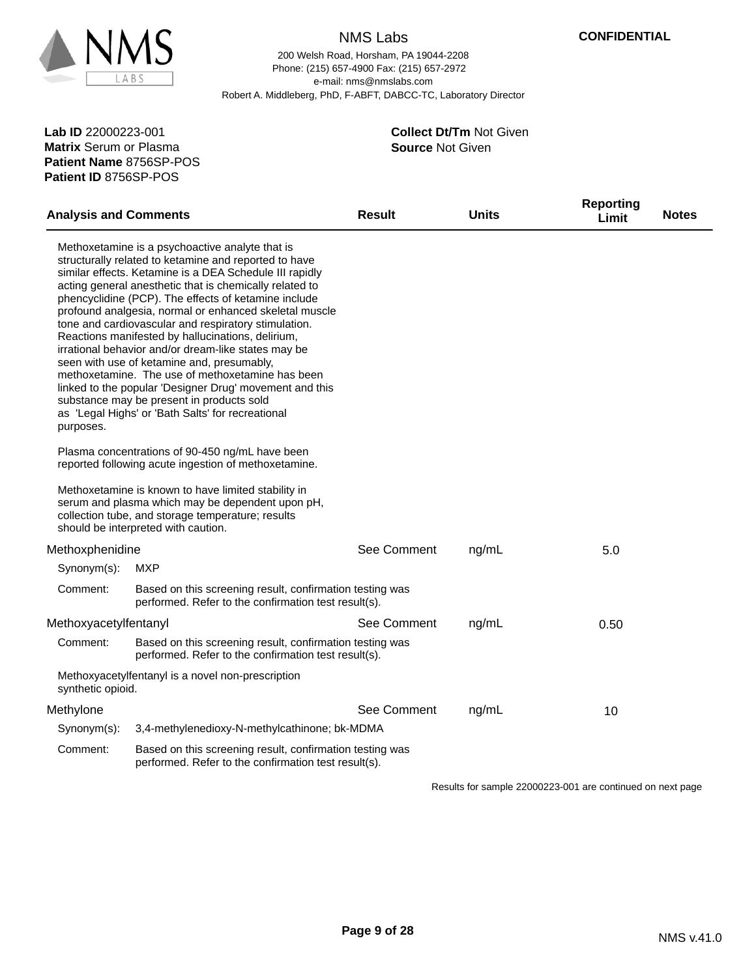

200 Welsh Road, Horsham, PA 19044-2208 e-mail: nms@nmslabs.com Robert A. Middleberg, PhD, F-ABFT, DABCC-TC, Laboratory Director Phone: (215) 657-4900 Fax: (215) 657-2972

**Patient Name** 8756SP-POS **Lab ID** 22000223-001 **Matrix** Serum or Plasma **Patient ID** 8756SP-POS

**Source** Not Given **Collect Dt/Tm** Not Given

| <b>Analysis and Comments</b> |                                                                                                                                                                                                                                                                                                                                                                                                                                                                                                                                                                                                                                                                                                                                                                                     | Result      | Units | <b>Reporting</b><br>Limit | <b>Notes</b> |
|------------------------------|-------------------------------------------------------------------------------------------------------------------------------------------------------------------------------------------------------------------------------------------------------------------------------------------------------------------------------------------------------------------------------------------------------------------------------------------------------------------------------------------------------------------------------------------------------------------------------------------------------------------------------------------------------------------------------------------------------------------------------------------------------------------------------------|-------------|-------|---------------------------|--------------|
| purposes.                    | Methoxetamine is a psychoactive analyte that is<br>structurally related to ketamine and reported to have<br>similar effects. Ketamine is a DEA Schedule III rapidly<br>acting general anesthetic that is chemically related to<br>phencyclidine (PCP). The effects of ketamine include<br>profound analgesia, normal or enhanced skeletal muscle<br>tone and cardiovascular and respiratory stimulation.<br>Reactions manifested by hallucinations, delirium,<br>irrational behavior and/or dream-like states may be<br>seen with use of ketamine and, presumably,<br>methoxetamine. The use of methoxetamine has been<br>linked to the popular 'Designer Drug' movement and this<br>substance may be present in products sold<br>as 'Legal Highs' or 'Bath Salts' for recreational |             |       |                           |              |
|                              | Plasma concentrations of 90-450 ng/mL have been<br>reported following acute ingestion of methoxetamine.                                                                                                                                                                                                                                                                                                                                                                                                                                                                                                                                                                                                                                                                             |             |       |                           |              |
|                              | Methoxetamine is known to have limited stability in<br>serum and plasma which may be dependent upon pH,<br>collection tube, and storage temperature; results<br>should be interpreted with caution.                                                                                                                                                                                                                                                                                                                                                                                                                                                                                                                                                                                 |             |       |                           |              |
| Methoxphenidine              |                                                                                                                                                                                                                                                                                                                                                                                                                                                                                                                                                                                                                                                                                                                                                                                     | See Comment | ng/mL | 5.0                       |              |
| Synonym(s):                  | MXP                                                                                                                                                                                                                                                                                                                                                                                                                                                                                                                                                                                                                                                                                                                                                                                 |             |       |                           |              |
| Comment:                     | Based on this screening result, confirmation testing was<br>performed. Refer to the confirmation test result(s).                                                                                                                                                                                                                                                                                                                                                                                                                                                                                                                                                                                                                                                                    |             |       |                           |              |
| Methoxyacetylfentanyl        |                                                                                                                                                                                                                                                                                                                                                                                                                                                                                                                                                                                                                                                                                                                                                                                     | See Comment | ng/mL | 0.50                      |              |
| Comment:                     | Based on this screening result, confirmation testing was<br>performed. Refer to the confirmation test result(s).                                                                                                                                                                                                                                                                                                                                                                                                                                                                                                                                                                                                                                                                    |             |       |                           |              |
| synthetic opioid.            | Methoxyacetylfentanyl is a novel non-prescription                                                                                                                                                                                                                                                                                                                                                                                                                                                                                                                                                                                                                                                                                                                                   |             |       |                           |              |
| Methylone                    |                                                                                                                                                                                                                                                                                                                                                                                                                                                                                                                                                                                                                                                                                                                                                                                     | See Comment | ng/mL | 10                        |              |
| Synonym(s):                  | 3,4-methylenedioxy-N-methylcathinone; bk-MDMA                                                                                                                                                                                                                                                                                                                                                                                                                                                                                                                                                                                                                                                                                                                                       |             |       |                           |              |
| Comment:                     | Based on this screening result, confirmation testing was<br>performed. Refer to the confirmation test result(s).                                                                                                                                                                                                                                                                                                                                                                                                                                                                                                                                                                                                                                                                    |             |       |                           |              |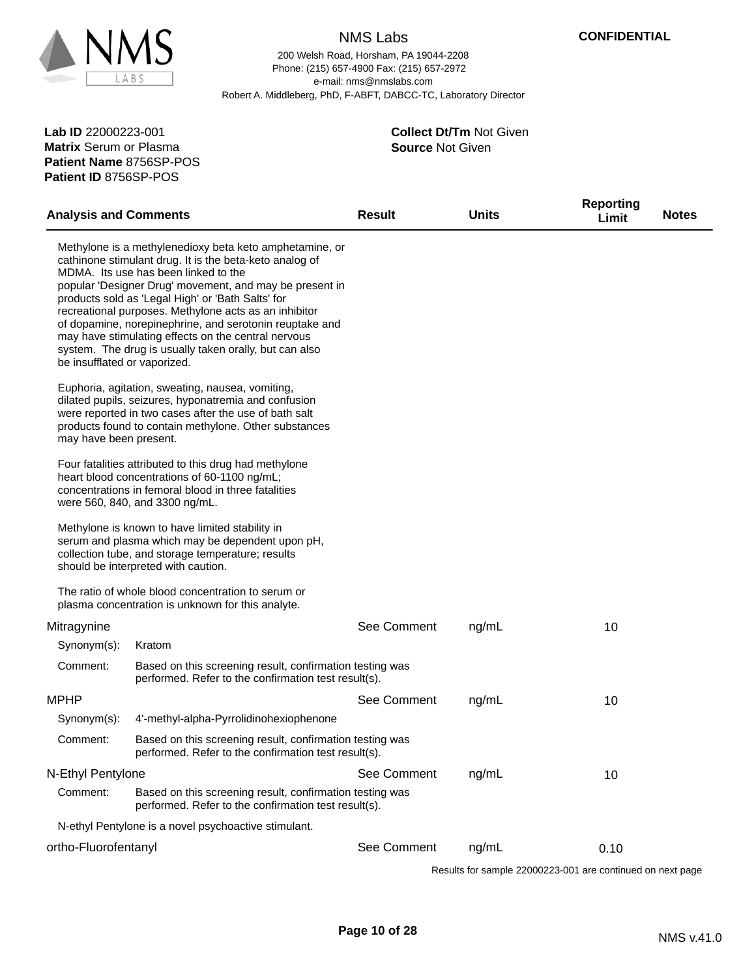

200 Welsh Road, Horsham, PA 19044-2208 e-mail: nms@nmslabs.com Robert A. Middleberg, PhD, F-ABFT, DABCC-TC, Laboratory Director Phone: (215) 657-4900 Fax: (215) 657-2972

**Patient Name** 8756SP-POS **Lab ID** 22000223-001 **Matrix** Serum or Plasma **Patient ID** 8756SP-POS

**Source** Not Given **Collect Dt/Tm** Not Given

| <b>Analysis and Comments</b> |                                                                                                                                                                                                                                                                                                                                                                                                                                                                                                                 | <b>Result</b> | <b>Units</b> | <b>Reporting</b><br>Limit | <b>Notes</b> |
|------------------------------|-----------------------------------------------------------------------------------------------------------------------------------------------------------------------------------------------------------------------------------------------------------------------------------------------------------------------------------------------------------------------------------------------------------------------------------------------------------------------------------------------------------------|---------------|--------------|---------------------------|--------------|
| be insufflated or vaporized. | Methylone is a methylenedioxy beta keto amphetamine, or<br>cathinone stimulant drug. It is the beta-keto analog of<br>MDMA. Its use has been linked to the<br>popular 'Designer Drug' movement, and may be present in<br>products sold as 'Legal High' or 'Bath Salts' for<br>recreational purposes. Methylone acts as an inhibitor<br>of dopamine, norepinephrine, and serotonin reuptake and<br>may have stimulating effects on the central nervous<br>system. The drug is usually taken orally, but can also |               |              |                           |              |
| may have been present.       | Euphoria, agitation, sweating, nausea, vomiting,<br>dilated pupils, seizures, hyponatremia and confusion<br>were reported in two cases after the use of bath salt<br>products found to contain methylone. Other substances                                                                                                                                                                                                                                                                                      |               |              |                           |              |
|                              | Four fatalities attributed to this drug had methylone<br>heart blood concentrations of 60-1100 ng/mL;<br>concentrations in femoral blood in three fatalities<br>were 560, 840, and 3300 ng/mL.                                                                                                                                                                                                                                                                                                                  |               |              |                           |              |
|                              | Methylone is known to have limited stability in<br>serum and plasma which may be dependent upon pH,<br>collection tube, and storage temperature; results<br>should be interpreted with caution.                                                                                                                                                                                                                                                                                                                 |               |              |                           |              |
|                              | The ratio of whole blood concentration to serum or<br>plasma concentration is unknown for this analyte.                                                                                                                                                                                                                                                                                                                                                                                                         |               |              |                           |              |
| Mitragynine                  |                                                                                                                                                                                                                                                                                                                                                                                                                                                                                                                 | See Comment   | ng/mL        | 10                        |              |
| Synonym(s):                  | Kratom                                                                                                                                                                                                                                                                                                                                                                                                                                                                                                          |               |              |                           |              |
| Comment:                     | Based on this screening result, confirmation testing was<br>performed. Refer to the confirmation test result(s).                                                                                                                                                                                                                                                                                                                                                                                                |               |              |                           |              |
| <b>MPHP</b>                  |                                                                                                                                                                                                                                                                                                                                                                                                                                                                                                                 | See Comment   | ng/mL        | 10                        |              |
| Synonym(s):                  | 4'-methyl-alpha-Pyrrolidinohexiophenone                                                                                                                                                                                                                                                                                                                                                                                                                                                                         |               |              |                           |              |
| Comment:                     | Based on this screening result, confirmation testing was<br>performed. Refer to the confirmation test result(s).                                                                                                                                                                                                                                                                                                                                                                                                |               |              |                           |              |
| N-Ethyl Pentylone            |                                                                                                                                                                                                                                                                                                                                                                                                                                                                                                                 | See Comment   | ng/mL        | 10                        |              |
| Comment:                     | Based on this screening result, confirmation testing was<br>performed. Refer to the confirmation test result(s).                                                                                                                                                                                                                                                                                                                                                                                                |               |              |                           |              |
|                              | N-ethyl Pentylone is a novel psychoactive stimulant.                                                                                                                                                                                                                                                                                                                                                                                                                                                            |               |              |                           |              |
| ortho-Fluorofentanyl         |                                                                                                                                                                                                                                                                                                                                                                                                                                                                                                                 | See Comment   | ng/mL        | 0.10                      |              |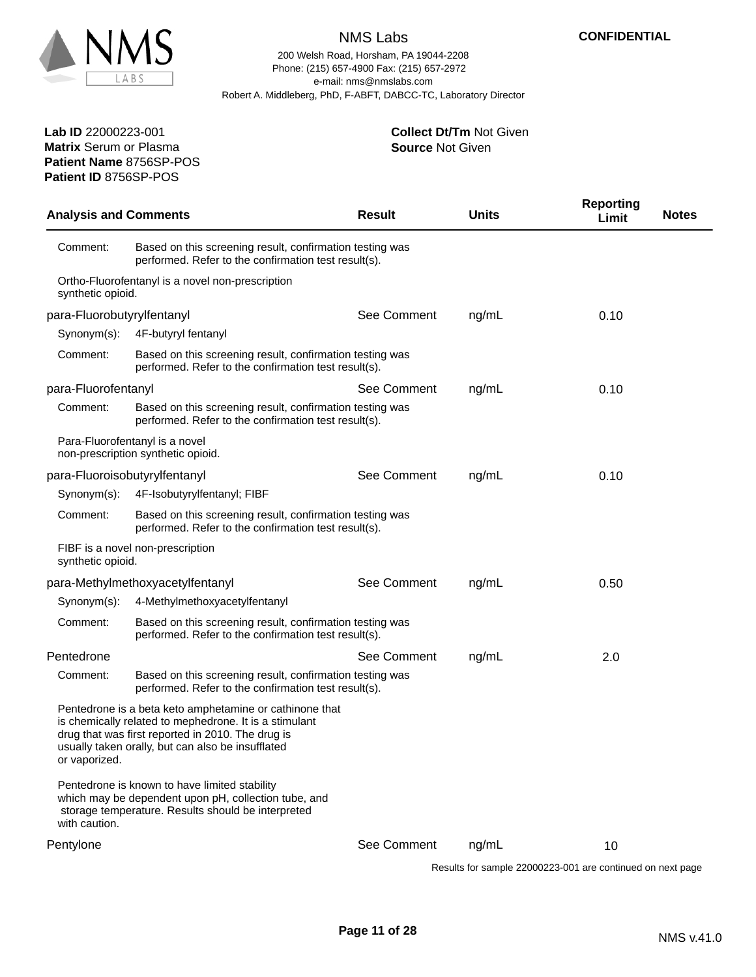

200 Welsh Road, Horsham, PA 19044-2208 e-mail: nms@nmslabs.com Robert A. Middleberg, PhD, F-ABFT, DABCC-TC, Laboratory Director Phone: (215) 657-4900 Fax: (215) 657-2972

#### **Source** Not Given **Collect Dt/Tm** Not Given

**Patient Name** 8756SP-POS **Lab ID** 22000223-001 **Matrix** Serum or Plasma **Patient ID** 8756SP-POS

| <b>Analysis and Comments</b> |                                                                                                                                                                                                                             | <b>Result</b> | <b>Units</b> | <b>Reporting</b><br>Limit | <b>Notes</b> |
|------------------------------|-----------------------------------------------------------------------------------------------------------------------------------------------------------------------------------------------------------------------------|---------------|--------------|---------------------------|--------------|
| Comment:                     | Based on this screening result, confirmation testing was<br>performed. Refer to the confirmation test result(s).                                                                                                            |               |              |                           |              |
| synthetic opioid.            | Ortho-Fluorofentanyl is a novel non-prescription                                                                                                                                                                            |               |              |                           |              |
| para-Fluorobutyrylfentanyl   |                                                                                                                                                                                                                             | See Comment   | ng/mL        | 0.10                      |              |
| Synonym(s):                  | 4F-butyryl fentanyl                                                                                                                                                                                                         |               |              |                           |              |
| Comment:                     | Based on this screening result, confirmation testing was<br>performed. Refer to the confirmation test result(s).                                                                                                            |               |              |                           |              |
| para-Fluorofentanyl          |                                                                                                                                                                                                                             | See Comment   | ng/mL        | 0.10                      |              |
| Comment:                     | Based on this screening result, confirmation testing was<br>performed. Refer to the confirmation test result(s).                                                                                                            |               |              |                           |              |
|                              | Para-Fluorofentanyl is a novel<br>non-prescription synthetic opioid.                                                                                                                                                        |               |              |                           |              |
|                              | para-Fluoroisobutyrylfentanyl                                                                                                                                                                                               | See Comment   | ng/mL        | 0.10                      |              |
| Synonym(s):                  | 4F-Isobutyrylfentanyl; FIBF                                                                                                                                                                                                 |               |              |                           |              |
| Comment:                     | Based on this screening result, confirmation testing was<br>performed. Refer to the confirmation test result(s).                                                                                                            |               |              |                           |              |
| synthetic opioid.            | FIBF is a novel non-prescription                                                                                                                                                                                            |               |              |                           |              |
|                              | para-Methylmethoxyacetylfentanyl                                                                                                                                                                                            | See Comment   | ng/mL        | 0.50                      |              |
| Synonym(s):                  | 4-Methylmethoxyacetylfentanyl                                                                                                                                                                                               |               |              |                           |              |
| Comment:                     | Based on this screening result, confirmation testing was<br>performed. Refer to the confirmation test result(s).                                                                                                            |               |              |                           |              |
| Pentedrone                   |                                                                                                                                                                                                                             | See Comment   | ng/mL        | 2.0                       |              |
| Comment:                     | Based on this screening result, confirmation testing was<br>performed. Refer to the confirmation test result(s).                                                                                                            |               |              |                           |              |
| or vaporized.                | Pentedrone is a beta keto amphetamine or cathinone that<br>is chemically related to mephedrone. It is a stimulant<br>drug that was first reported in 2010. The drug is<br>usually taken orally, but can also be insufflated |               |              |                           |              |
| with caution.                | Pentedrone is known to have limited stability<br>which may be dependent upon pH, collection tube, and<br>storage temperature. Results should be interpreted                                                                 |               |              |                           |              |
| Pentylone                    |                                                                                                                                                                                                                             | See Comment   | ng/mL        | 10                        |              |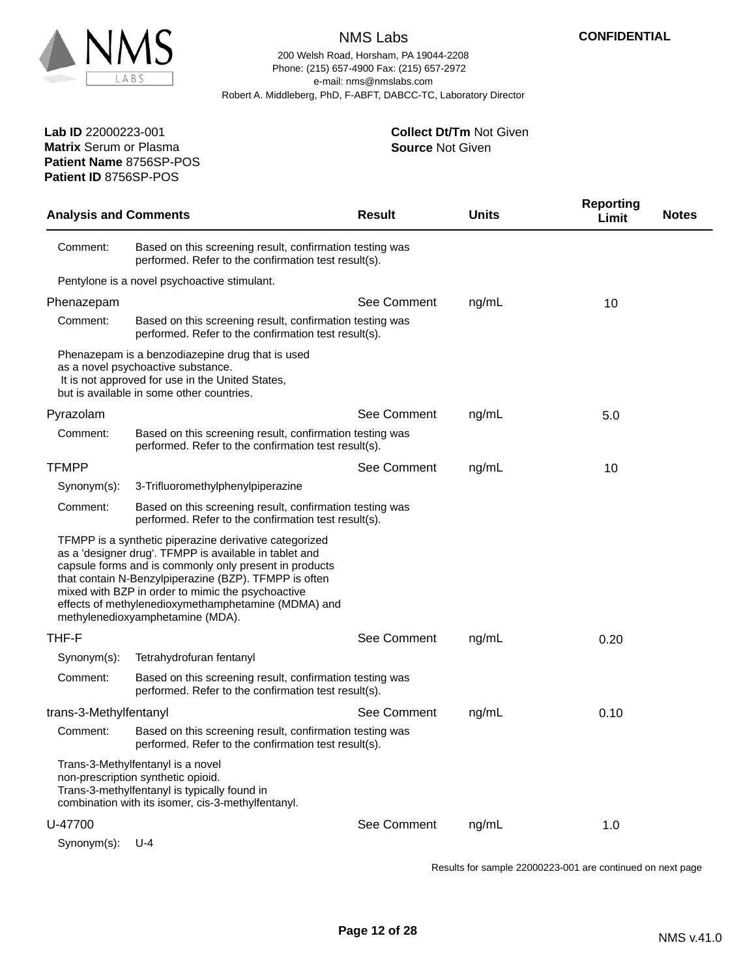

200 Welsh Road, Horsham, PA 19044-2208 e-mail: nms@nmslabs.com Robert A. Middleberg, PhD, F-ABFT, DABCC-TC, Laboratory Director Phone: (215) 657-4900 Fax: (215) 657-2972

> **Source** Not Given **Collect Dt/Tm** Not Given

**Patient Name** 8756SP-POS **Lab ID** 22000223-001 **Matrix** Serum or Plasma **Patient ID** 8756SP-POS

| <b>Analysis and Comments</b> |                                                                                                                                                                                                                                                                                                                                                                                     | <b>Result</b> | <b>Units</b> | <b>Reporting</b><br>Limit | <b>Notes</b> |
|------------------------------|-------------------------------------------------------------------------------------------------------------------------------------------------------------------------------------------------------------------------------------------------------------------------------------------------------------------------------------------------------------------------------------|---------------|--------------|---------------------------|--------------|
| Comment:                     | Based on this screening result, confirmation testing was<br>performed. Refer to the confirmation test result(s).                                                                                                                                                                                                                                                                    |               |              |                           |              |
|                              | Pentylone is a novel psychoactive stimulant.                                                                                                                                                                                                                                                                                                                                        |               |              |                           |              |
| Phenazepam                   |                                                                                                                                                                                                                                                                                                                                                                                     | See Comment   | ng/mL        | 10                        |              |
| Comment:                     | Based on this screening result, confirmation testing was<br>performed. Refer to the confirmation test result(s).                                                                                                                                                                                                                                                                    |               |              |                           |              |
|                              | Phenazepam is a benzodiazepine drug that is used<br>as a novel psychoactive substance.<br>It is not approved for use in the United States,<br>but is available in some other countries.                                                                                                                                                                                             |               |              |                           |              |
| Pyrazolam                    |                                                                                                                                                                                                                                                                                                                                                                                     | See Comment   | ng/mL        | 5.0                       |              |
| Comment:                     | Based on this screening result, confirmation testing was<br>performed. Refer to the confirmation test result(s).                                                                                                                                                                                                                                                                    |               |              |                           |              |
| <b>TFMPP</b>                 |                                                                                                                                                                                                                                                                                                                                                                                     | See Comment   | ng/mL        | 10                        |              |
| Synonym(s):                  | 3-Trifluoromethylphenylpiperazine                                                                                                                                                                                                                                                                                                                                                   |               |              |                           |              |
| Comment:                     | Based on this screening result, confirmation testing was<br>performed. Refer to the confirmation test result(s).                                                                                                                                                                                                                                                                    |               |              |                           |              |
|                              | TFMPP is a synthetic piperazine derivative categorized<br>as a 'designer drug'. TFMPP is available in tablet and<br>capsule forms and is commonly only present in products<br>that contain N-Benzylpiperazine (BZP). TFMPP is often<br>mixed with BZP in order to mimic the psychoactive<br>effects of methylenedioxymethamphetamine (MDMA) and<br>methylenedioxyamphetamine (MDA). |               |              |                           |              |
| THF-F                        |                                                                                                                                                                                                                                                                                                                                                                                     | See Comment   | ng/mL        | 0.20                      |              |
| Synonym(s):                  | Tetrahydrofuran fentanyl                                                                                                                                                                                                                                                                                                                                                            |               |              |                           |              |
| Comment:                     | Based on this screening result, confirmation testing was<br>performed. Refer to the confirmation test result(s).                                                                                                                                                                                                                                                                    |               |              |                           |              |
| trans-3-Methylfentanyl       |                                                                                                                                                                                                                                                                                                                                                                                     | See Comment   | ng/mL        | 0.10                      |              |
| Comment:                     | Based on this screening result, confirmation testing was<br>performed. Refer to the confirmation test result(s).                                                                                                                                                                                                                                                                    |               |              |                           |              |
|                              | Trans-3-Methylfentanyl is a novel<br>non-prescription synthetic opioid.<br>Trans-3-methylfentanyl is typically found in<br>combination with its isomer, cis-3-methylfentanyl.                                                                                                                                                                                                       |               |              |                           |              |
| U-47700                      |                                                                                                                                                                                                                                                                                                                                                                                     | See Comment   | ng/mL        | 1.0                       |              |
| Synonym(s):                  | $U - 4$                                                                                                                                                                                                                                                                                                                                                                             |               |              |                           |              |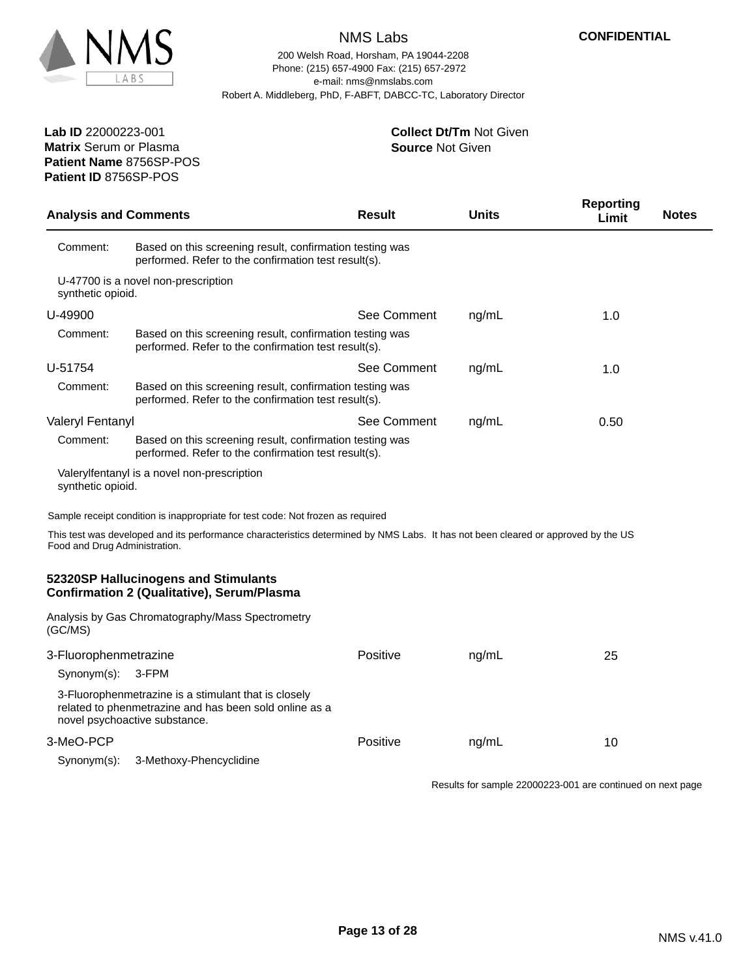

200 Welsh Road, Horsham, PA 19044-2208 e-mail: nms@nmslabs.com Robert A. Middleberg, PhD, F-ABFT, DABCC-TC, Laboratory Director Phone: (215) 657-4900 Fax: (215) 657-2972

#### **Source** Not Given **Collect Dt/Tm** Not Given

**Patient Name** 8756SP-POS **Lab ID** 22000223-001 **Matrix** Serum or Plasma **Patient ID** 8756SP-POS

| <b>Analysis and Comments</b>  |                                                                                                                                                 | <b>Result</b> | <b>Units</b> | <b>Reporting</b><br>Limit                                  | <b>Notes</b> |
|-------------------------------|-------------------------------------------------------------------------------------------------------------------------------------------------|---------------|--------------|------------------------------------------------------------|--------------|
| Comment:                      | Based on this screening result, confirmation testing was<br>performed. Refer to the confirmation test result(s).                                |               |              |                                                            |              |
| synthetic opioid.             | U-47700 is a novel non-prescription                                                                                                             |               |              |                                                            |              |
| U-49900                       |                                                                                                                                                 | See Comment   | ng/mL        | 1.0                                                        |              |
| Comment:                      | Based on this screening result, confirmation testing was<br>performed. Refer to the confirmation test result(s).                                |               |              |                                                            |              |
| U-51754                       |                                                                                                                                                 | See Comment   | ng/mL        | 1.0                                                        |              |
| Comment:                      | Based on this screening result, confirmation testing was<br>performed. Refer to the confirmation test result(s).                                |               |              |                                                            |              |
| Valeryl Fentanyl              |                                                                                                                                                 | See Comment   | ng/mL        | 0.50                                                       |              |
| Comment:                      | Based on this screening result, confirmation testing was<br>performed. Refer to the confirmation test result(s).                                |               |              |                                                            |              |
| synthetic opioid.             | Valerylfentanyl is a novel non-prescription                                                                                                     |               |              |                                                            |              |
|                               | Sample receipt condition is inappropriate for test code: Not frozen as required                                                                 |               |              |                                                            |              |
| Food and Drug Administration. | This test was developed and its performance characteristics determined by NMS Labs. It has not been cleared or approved by the US               |               |              |                                                            |              |
|                               | 52320SP Hallucinogens and Stimulants<br><b>Confirmation 2 (Qualitative), Serum/Plasma</b>                                                       |               |              |                                                            |              |
| (GC/MS)                       | Analysis by Gas Chromatography/Mass Spectrometry                                                                                                |               |              |                                                            |              |
| 3-Fluorophenmetrazine         |                                                                                                                                                 | Positive      | ng/mL        | 25                                                         |              |
| Synonym(s):                   | 3-FPM                                                                                                                                           |               |              |                                                            |              |
|                               | 3-Fluorophenmetrazine is a stimulant that is closely<br>related to phenmetrazine and has been sold online as a<br>novel psychoactive substance. |               |              |                                                            |              |
| 3-MeO-PCP                     |                                                                                                                                                 | Positive      | ng/mL        | 10                                                         |              |
| Synonym(s):                   | 3-Methoxy-Phencyclidine                                                                                                                         |               |              |                                                            |              |
|                               |                                                                                                                                                 |               |              | Results for sample 22000223-001 are continued on next page |              |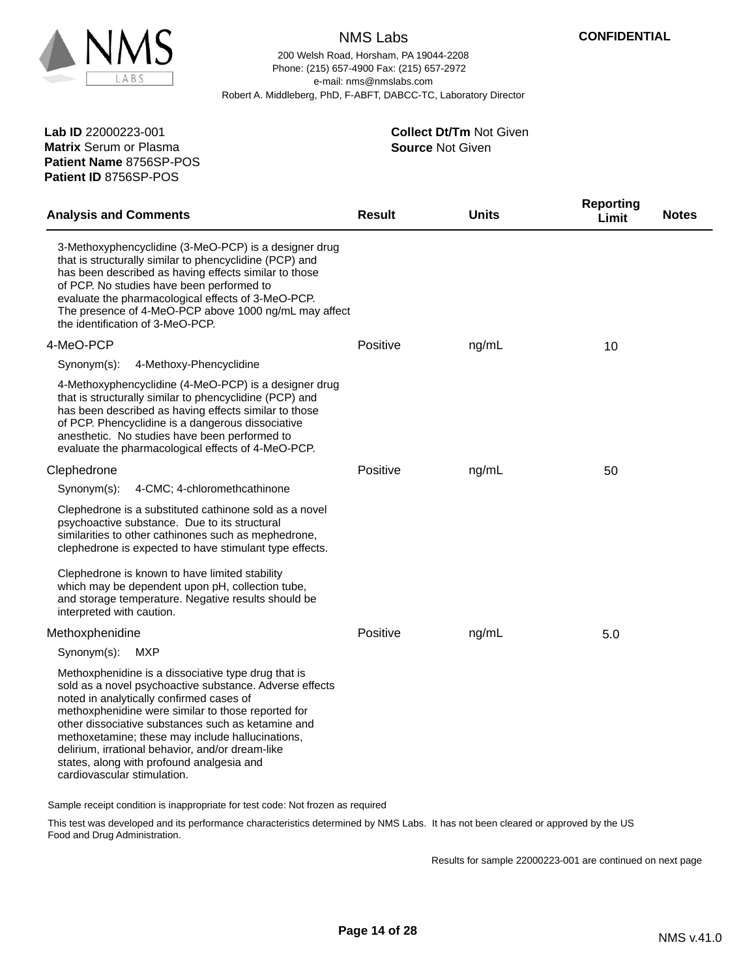

200 Welsh Road, Horsham, PA 19044-2208 e-mail: nms@nmslabs.com Robert A. Middleberg, PhD, F-ABFT, DABCC-TC, Laboratory Director Phone: (215) 657-4900 Fax: (215) 657-2972

**Patient Name** 8756SP-POS **Lab ID** 22000223-001 **Matrix** Serum or Plasma **Patient ID** 8756SP-POS

#### **Source** Not Given **Collect Dt/Tm** Not Given

| <b>Analysis and Comments</b>                                                                                                                                                                                                                                                                                                                                                                                                                               | <b>Result</b> | <b>Units</b> | <b>Reporting</b><br><b>Notes</b><br>Limit |  |
|------------------------------------------------------------------------------------------------------------------------------------------------------------------------------------------------------------------------------------------------------------------------------------------------------------------------------------------------------------------------------------------------------------------------------------------------------------|---------------|--------------|-------------------------------------------|--|
| 3-Methoxyphencyclidine (3-MeO-PCP) is a designer drug<br>that is structurally similar to phencyclidine (PCP) and<br>has been described as having effects similar to those<br>of PCP. No studies have been performed to<br>evaluate the pharmacological effects of 3-MeO-PCP.<br>The presence of 4-MeO-PCP above 1000 ng/mL may affect<br>the identification of 3-MeO-PCP.                                                                                  |               |              |                                           |  |
| 4-MeO-PCP                                                                                                                                                                                                                                                                                                                                                                                                                                                  | Positive      | ng/mL        | 10                                        |  |
| 4-Methoxy-Phencyclidine<br>Synonym(s):                                                                                                                                                                                                                                                                                                                                                                                                                     |               |              |                                           |  |
| 4-Methoxyphencyclidine (4-MeO-PCP) is a designer drug<br>that is structurally similar to phencyclidine (PCP) and<br>has been described as having effects similar to those<br>of PCP. Phencyclidine is a dangerous dissociative<br>anesthetic. No studies have been performed to<br>evaluate the pharmacological effects of 4-MeO-PCP.                                                                                                                      |               |              |                                           |  |
| Clephedrone                                                                                                                                                                                                                                                                                                                                                                                                                                                | Positive      | ng/mL        | 50                                        |  |
| Synonym(s):<br>4-CMC; 4-chloromethcathinone                                                                                                                                                                                                                                                                                                                                                                                                                |               |              |                                           |  |
| Clephedrone is a substituted cathinone sold as a novel<br>psychoactive substance. Due to its structural<br>similarities to other cathinones such as mephedrone,<br>clephedrone is expected to have stimulant type effects.                                                                                                                                                                                                                                 |               |              |                                           |  |
| Clephedrone is known to have limited stability<br>which may be dependent upon pH, collection tube,<br>and storage temperature. Negative results should be<br>interpreted with caution.                                                                                                                                                                                                                                                                     |               |              |                                           |  |
| Methoxphenidine                                                                                                                                                                                                                                                                                                                                                                                                                                            | Positive      | ng/mL        | 5.0                                       |  |
| Synonym(s):<br><b>MXP</b>                                                                                                                                                                                                                                                                                                                                                                                                                                  |               |              |                                           |  |
| Methoxphenidine is a dissociative type drug that is<br>sold as a novel psychoactive substance. Adverse effects<br>noted in analytically confirmed cases of<br>methoxphenidine were similar to those reported for<br>other dissociative substances such as ketamine and<br>methoxetamine; these may include hallucinations,<br>delirium, irrational behavior, and/or dream-like<br>states, along with profound analgesia and<br>cardiovascular stimulation. |               |              |                                           |  |

Sample receipt condition is inappropriate for test code: Not frozen as required

This test was developed and its performance characteristics determined by NMS Labs. It has not been cleared or approved by the US Food and Drug Administration.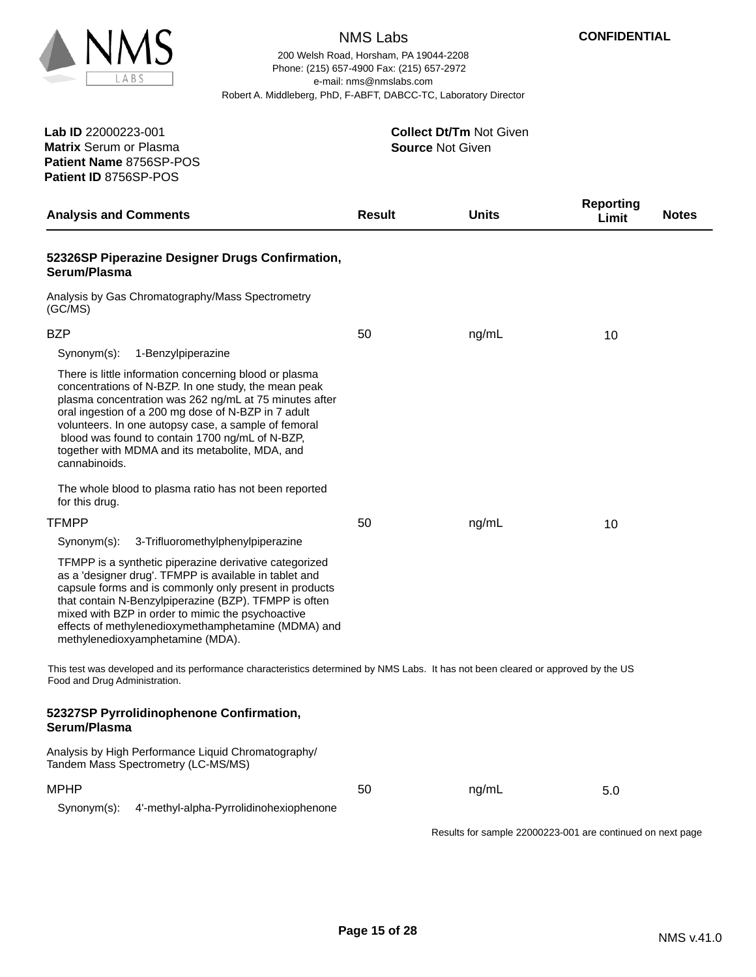

200 Welsh Road, Horsham, PA 19044-2208 e-mail: nms@nmslabs.com Robert A. Middleberg, PhD, F-ABFT, DABCC-TC, Laboratory Director Phone: (215) 657-4900 Fax: (215) 657-2972

**Patient Name** 8756SP-POS **Lab ID** 22000223-001 **Matrix** Serum or Plasma **Patient ID** 8756SP-POS

| <b>Analysis and Comments</b>                                                                                                                                                                                                                                                                                                                                                                                   | <b>Result</b> | Units                                                      | <b>Reporting</b><br>Limit | <b>Notes</b> |
|----------------------------------------------------------------------------------------------------------------------------------------------------------------------------------------------------------------------------------------------------------------------------------------------------------------------------------------------------------------------------------------------------------------|---------------|------------------------------------------------------------|---------------------------|--------------|
| 52326SP Piperazine Designer Drugs Confirmation,<br>Serum/Plasma                                                                                                                                                                                                                                                                                                                                                |               |                                                            |                           |              |
| Analysis by Gas Chromatography/Mass Spectrometry<br>(GC/MS)                                                                                                                                                                                                                                                                                                                                                    |               |                                                            |                           |              |
| <b>BZP</b>                                                                                                                                                                                                                                                                                                                                                                                                     | 50            | ng/mL                                                      | 10                        |              |
| Synonym(s):<br>1-Benzylpiperazine                                                                                                                                                                                                                                                                                                                                                                              |               |                                                            |                           |              |
| There is little information concerning blood or plasma<br>concentrations of N-BZP. In one study, the mean peak<br>plasma concentration was 262 ng/mL at 75 minutes after<br>oral ingestion of a 200 mg dose of N-BZP in 7 adult<br>volunteers. In one autopsy case, a sample of femoral<br>blood was found to contain 1700 ng/mL of N-BZP,<br>together with MDMA and its metabolite, MDA, and<br>cannabinoids. |               |                                                            |                           |              |
| The whole blood to plasma ratio has not been reported<br>for this drug.                                                                                                                                                                                                                                                                                                                                        |               |                                                            |                           |              |
| TFMPP                                                                                                                                                                                                                                                                                                                                                                                                          | 50            | ng/mL                                                      | 10                        |              |
| 3-Trifluoromethylphenylpiperazine<br>Synonym(s):                                                                                                                                                                                                                                                                                                                                                               |               |                                                            |                           |              |
| TFMPP is a synthetic piperazine derivative categorized<br>as a 'designer drug'. TFMPP is available in tablet and<br>capsule forms and is commonly only present in products<br>that contain N-Benzylpiperazine (BZP). TFMPP is often<br>mixed with BZP in order to mimic the psychoactive<br>effects of methylenedioxymethamphetamine (MDMA) and<br>methylenedioxyamphetamine (MDA).                            |               |                                                            |                           |              |
| This test was developed and its performance characteristics determined by NMS Labs. It has not been cleared or approved by the US<br>Food and Drug Administration.                                                                                                                                                                                                                                             |               |                                                            |                           |              |
| 52327SP Pyrrolidinophenone Confirmation,<br>Serum/Plasma                                                                                                                                                                                                                                                                                                                                                       |               |                                                            |                           |              |
| Analysis by High Performance Liquid Chromatography/<br>Tandem Mass Spectrometry (LC-MS/MS)                                                                                                                                                                                                                                                                                                                     |               |                                                            |                           |              |
| <b>MPHP</b>                                                                                                                                                                                                                                                                                                                                                                                                    | 50            | ng/mL                                                      | 5.0                       |              |
| Synonym(s):<br>4'-methyl-alpha-Pyrrolidinohexiophenone                                                                                                                                                                                                                                                                                                                                                         |               |                                                            |                           |              |
|                                                                                                                                                                                                                                                                                                                                                                                                                |               | Results for sample 22000223-001 are continued on next page |                           |              |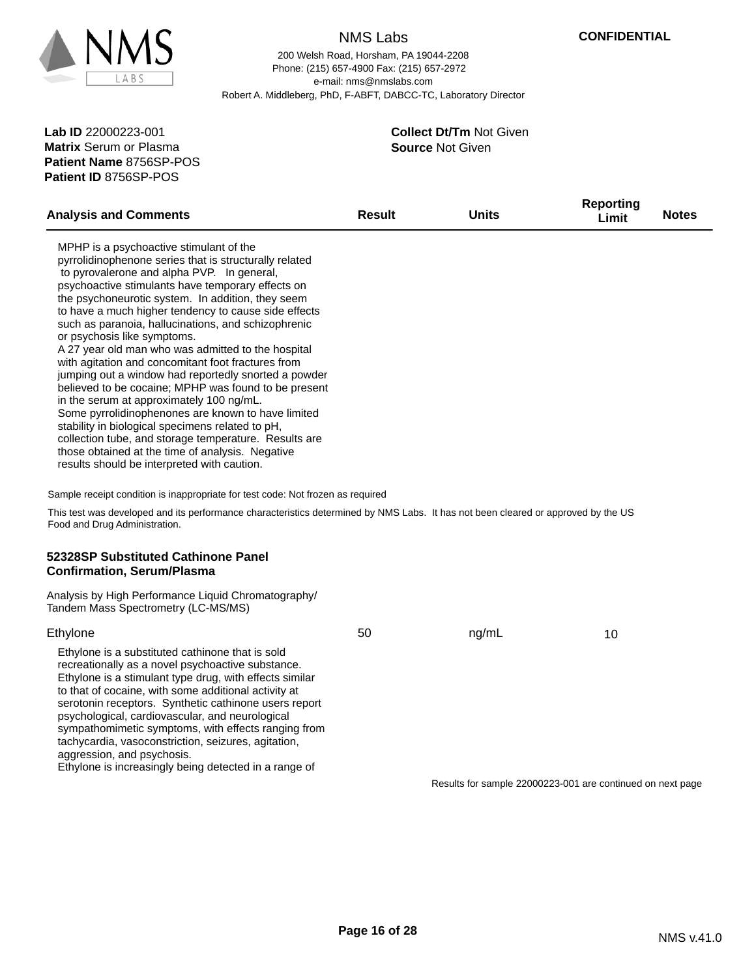

200 Welsh Road, Horsham, PA 19044-2208 e-mail: nms@nmslabs.com Robert A. Middleberg, PhD, F-ABFT, DABCC-TC, Laboratory Director Phone: (215) 657-4900 Fax: (215) 657-2972

**Patient Name** 8756SP-POS **Lab ID** 22000223-001 **Matrix** Serum or Plasma **Patient ID** 8756SP-POS

| <b>Analysis and Comments</b>                                                                                                                                                                                                                                                                                                                                                                                                                                                                                                                                                                                                                                                                                                                                                                                                                                                                                                                          | Result | <b>Units</b>                                               | <b>Reporting</b><br>Limit | <b>Notes</b> |
|-------------------------------------------------------------------------------------------------------------------------------------------------------------------------------------------------------------------------------------------------------------------------------------------------------------------------------------------------------------------------------------------------------------------------------------------------------------------------------------------------------------------------------------------------------------------------------------------------------------------------------------------------------------------------------------------------------------------------------------------------------------------------------------------------------------------------------------------------------------------------------------------------------------------------------------------------------|--------|------------------------------------------------------------|---------------------------|--------------|
| MPHP is a psychoactive stimulant of the<br>pyrrolidinophenone series that is structurally related<br>to pyrovalerone and alpha PVP. In general,<br>psychoactive stimulants have temporary effects on<br>the psychoneurotic system. In addition, they seem<br>to have a much higher tendency to cause side effects<br>such as paranoia, hallucinations, and schizophrenic<br>or psychosis like symptoms.<br>A 27 year old man who was admitted to the hospital<br>with agitation and concomitant foot fractures from<br>jumping out a window had reportedly snorted a powder<br>believed to be cocaine; MPHP was found to be present<br>in the serum at approximately 100 ng/mL.<br>Some pyrrolidinophenones are known to have limited<br>stability in biological specimens related to pH,<br>collection tube, and storage temperature. Results are<br>those obtained at the time of analysis. Negative<br>results should be interpreted with caution. |        |                                                            |                           |              |
| Sample receipt condition is inappropriate for test code: Not frozen as required                                                                                                                                                                                                                                                                                                                                                                                                                                                                                                                                                                                                                                                                                                                                                                                                                                                                       |        |                                                            |                           |              |
| This test was developed and its performance characteristics determined by NMS Labs. It has not been cleared or approved by the US<br>Food and Drug Administration.                                                                                                                                                                                                                                                                                                                                                                                                                                                                                                                                                                                                                                                                                                                                                                                    |        |                                                            |                           |              |
| 52328SP Substituted Cathinone Panel<br><b>Confirmation, Serum/Plasma</b>                                                                                                                                                                                                                                                                                                                                                                                                                                                                                                                                                                                                                                                                                                                                                                                                                                                                              |        |                                                            |                           |              |
| Analysis by High Performance Liquid Chromatography/<br>Tandem Mass Spectrometry (LC-MS/MS)                                                                                                                                                                                                                                                                                                                                                                                                                                                                                                                                                                                                                                                                                                                                                                                                                                                            |        |                                                            |                           |              |
| Ethylone                                                                                                                                                                                                                                                                                                                                                                                                                                                                                                                                                                                                                                                                                                                                                                                                                                                                                                                                              | 50     | ng/mL                                                      | 10                        |              |
| Ethylone is a substituted cathinone that is sold<br>recreationally as a novel psychoactive substance.<br>Ethylone is a stimulant type drug, with effects similar<br>to that of cocaine, with some additional activity at<br>serotonin receptors. Synthetic cathinone users report<br>psychological, cardiovascular, and neurological<br>sympathomimetic symptoms, with effects ranging from<br>tachycardia, vasoconstriction, seizures, agitation,<br>aggression, and psychosis.<br>Ethylone is increasingly being detected in a range of                                                                                                                                                                                                                                                                                                                                                                                                             |        |                                                            |                           |              |
|                                                                                                                                                                                                                                                                                                                                                                                                                                                                                                                                                                                                                                                                                                                                                                                                                                                                                                                                                       |        | Results for sample 22000223-001 are continued on next page |                           |              |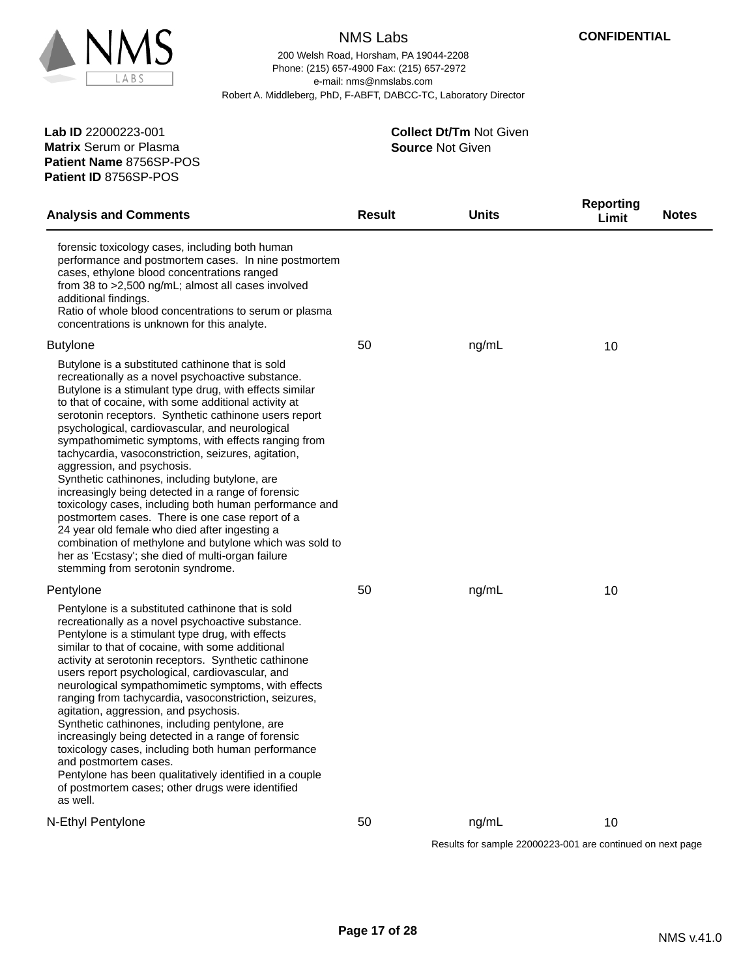

200 Welsh Road, Horsham, PA 19044-2208 e-mail: nms@nmslabs.com Robert A. Middleberg, PhD, F-ABFT, DABCC-TC, Laboratory Director Phone: (215) 657-4900 Fax: (215) 657-2972

**Patient Name** 8756SP-POS **Lab ID** 22000223-001 **Matrix** Serum or Plasma **Patient ID** 8756SP-POS

| <b>Analysis and Comments</b>                                                                                                                                                                                                                                                                                                                                                                                                                                                                                                                                                                                                                                                                                                                                                                                                                                                                               | <b>Result</b> | <b>Units</b>                                               | <b>Reporting</b><br>Limit | <b>Notes</b> |
|------------------------------------------------------------------------------------------------------------------------------------------------------------------------------------------------------------------------------------------------------------------------------------------------------------------------------------------------------------------------------------------------------------------------------------------------------------------------------------------------------------------------------------------------------------------------------------------------------------------------------------------------------------------------------------------------------------------------------------------------------------------------------------------------------------------------------------------------------------------------------------------------------------|---------------|------------------------------------------------------------|---------------------------|--------------|
| forensic toxicology cases, including both human<br>performance and postmortem cases. In nine postmortem<br>cases, ethylone blood concentrations ranged<br>from 38 to >2,500 ng/mL; almost all cases involved<br>additional findings.<br>Ratio of whole blood concentrations to serum or plasma<br>concentrations is unknown for this analyte.                                                                                                                                                                                                                                                                                                                                                                                                                                                                                                                                                              |               |                                                            |                           |              |
| <b>Butylone</b>                                                                                                                                                                                                                                                                                                                                                                                                                                                                                                                                                                                                                                                                                                                                                                                                                                                                                            | 50            | ng/mL                                                      | 10                        |              |
| Butylone is a substituted cathinone that is sold<br>recreationally as a novel psychoactive substance.<br>Butylone is a stimulant type drug, with effects similar<br>to that of cocaine, with some additional activity at<br>serotonin receptors. Synthetic cathinone users report<br>psychological, cardiovascular, and neurological<br>sympathomimetic symptoms, with effects ranging from<br>tachycardia, vasoconstriction, seizures, agitation,<br>aggression, and psychosis.<br>Synthetic cathinones, including butylone, are<br>increasingly being detected in a range of forensic<br>toxicology cases, including both human performance and<br>postmortem cases. There is one case report of a<br>24 year old female who died after ingesting a<br>combination of methylone and butylone which was sold to<br>her as 'Ecstasy'; she died of multi-organ failure<br>stemming from serotonin syndrome. |               |                                                            |                           |              |
| Pentylone                                                                                                                                                                                                                                                                                                                                                                                                                                                                                                                                                                                                                                                                                                                                                                                                                                                                                                  | 50            | ng/mL                                                      | 10                        |              |
| Pentylone is a substituted cathinone that is sold<br>recreationally as a novel psychoactive substance.<br>Pentylone is a stimulant type drug, with effects<br>similar to that of cocaine, with some additional<br>activity at serotonin receptors. Synthetic cathinone<br>users report psychological, cardiovascular, and<br>neurological sympathomimetic symptoms, with effects<br>ranging from tachycardia, vasoconstriction, seizures,<br>agitation, aggression, and psychosis.<br>Synthetic cathinones, including pentylone, are<br>increasingly being detected in a range of forensic<br>toxicology cases, including both human performance<br>and postmortem cases.<br>Pentylone has been qualitatively identified in a couple<br>of postmortem cases; other drugs were identified<br>as well.                                                                                                       |               |                                                            |                           |              |
| N-Ethyl Pentylone                                                                                                                                                                                                                                                                                                                                                                                                                                                                                                                                                                                                                                                                                                                                                                                                                                                                                          | 50            | ng/mL                                                      | 10                        |              |
|                                                                                                                                                                                                                                                                                                                                                                                                                                                                                                                                                                                                                                                                                                                                                                                                                                                                                                            |               | Results for sample 22000223-001 are continued on next page |                           |              |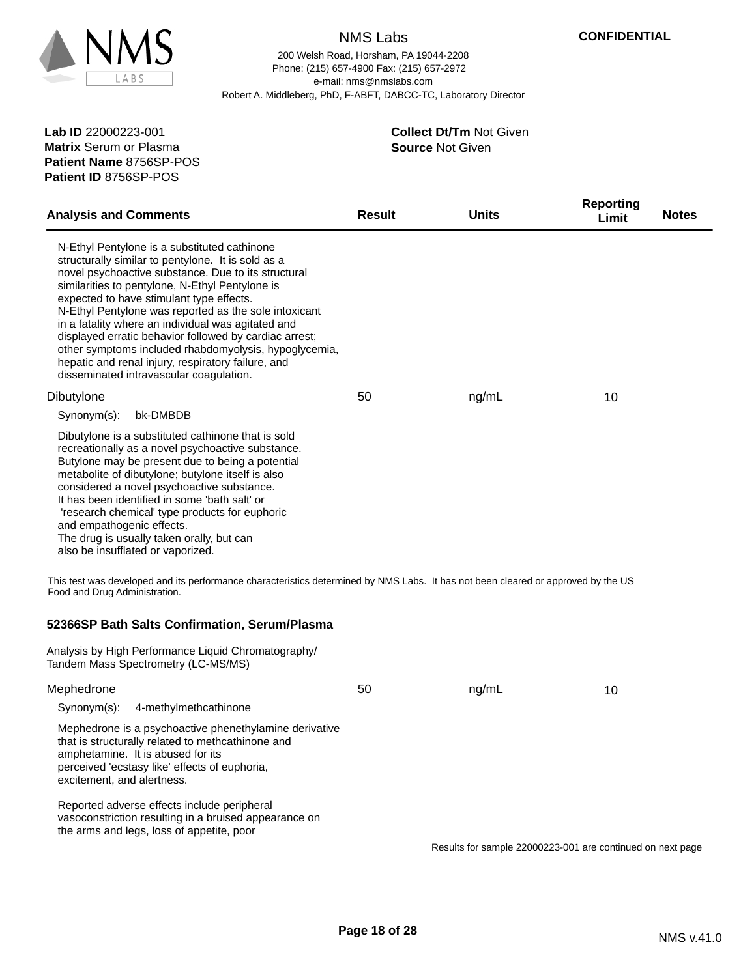

200 Welsh Road, Horsham, PA 19044-2208 e-mail: nms@nmslabs.com Robert A. Middleberg, PhD, F-ABFT, DABCC-TC, Laboratory Director Phone: (215) 657-4900 Fax: (215) 657-2972

**Patient Name** 8756SP-POS **Lab ID** 22000223-001 **Matrix** Serum or Plasma **Patient ID** 8756SP-POS

amphetamine. It is abused for its

excitement, and alertness.

perceived 'ecstasy like' effects of euphoria,

Reported adverse effects include peripheral

the arms and legs, loss of appetite, poor

vasoconstriction resulting in a bruised appearance on

#### **Source** Not Given **Collect Dt/Tm** Not Given

| <b>Analysis and Comments</b>                                                                                                                                                                                                                                                                                                                                                                                                                                                                                                                                                                | <b>Result</b> | <b>Units</b> | <b>Reporting</b><br>Limit | <b>Notes</b> |
|---------------------------------------------------------------------------------------------------------------------------------------------------------------------------------------------------------------------------------------------------------------------------------------------------------------------------------------------------------------------------------------------------------------------------------------------------------------------------------------------------------------------------------------------------------------------------------------------|---------------|--------------|---------------------------|--------------|
| N-Ethyl Pentylone is a substituted cathinone<br>structurally similar to pentylone. It is sold as a<br>novel psychoactive substance. Due to its structural<br>similarities to pentylone, N-Ethyl Pentylone is<br>expected to have stimulant type effects.<br>N-Ethyl Pentylone was reported as the sole intoxicant<br>in a fatality where an individual was agitated and<br>displayed erratic behavior followed by cardiac arrest;<br>other symptoms included rhabdomyolysis, hypoglycemia,<br>hepatic and renal injury, respiratory failure, and<br>disseminated intravascular coagulation. |               |              |                           |              |
| Dibutylone                                                                                                                                                                                                                                                                                                                                                                                                                                                                                                                                                                                  | 50            | ng/mL        | 10                        |              |
| bk-DMBDB<br>Synonym(s):                                                                                                                                                                                                                                                                                                                                                                                                                                                                                                                                                                     |               |              |                           |              |
| Dibutylone is a substituted cathinone that is sold<br>recreationally as a novel psychoactive substance.<br>Butylone may be present due to being a potential<br>metabolite of dibutylone; butylone itself is also<br>considered a novel psychoactive substance.<br>It has been identified in some 'bath salt' or<br>'research chemical' type products for euphoric<br>and empathogenic effects.<br>The drug is usually taken orally, but can<br>also be insufflated or vaporized.                                                                                                            |               |              |                           |              |
| This test was developed and its performance characteristics determined by NMS Labs. It has not been cleared or approved by the US<br>Food and Drug Administration.                                                                                                                                                                                                                                                                                                                                                                                                                          |               |              |                           |              |
| 52366SP Bath Salts Confirmation, Serum/Plasma                                                                                                                                                                                                                                                                                                                                                                                                                                                                                                                                               |               |              |                           |              |
| Analysis by High Performance Liquid Chromatography/<br>Tandem Mass Spectrometry (LC-MS/MS)                                                                                                                                                                                                                                                                                                                                                                                                                                                                                                  |               |              |                           |              |
| Mephedrone                                                                                                                                                                                                                                                                                                                                                                                                                                                                                                                                                                                  | 50            | ng/mL        | 10                        |              |
| Synonym(s):<br>4-methylmethcathinone                                                                                                                                                                                                                                                                                                                                                                                                                                                                                                                                                        |               |              |                           |              |
| Mephedrone is a psychoactive phenethylamine derivative<br>that is structurally related to methcathinone and                                                                                                                                                                                                                                                                                                                                                                                                                                                                                 |               |              |                           |              |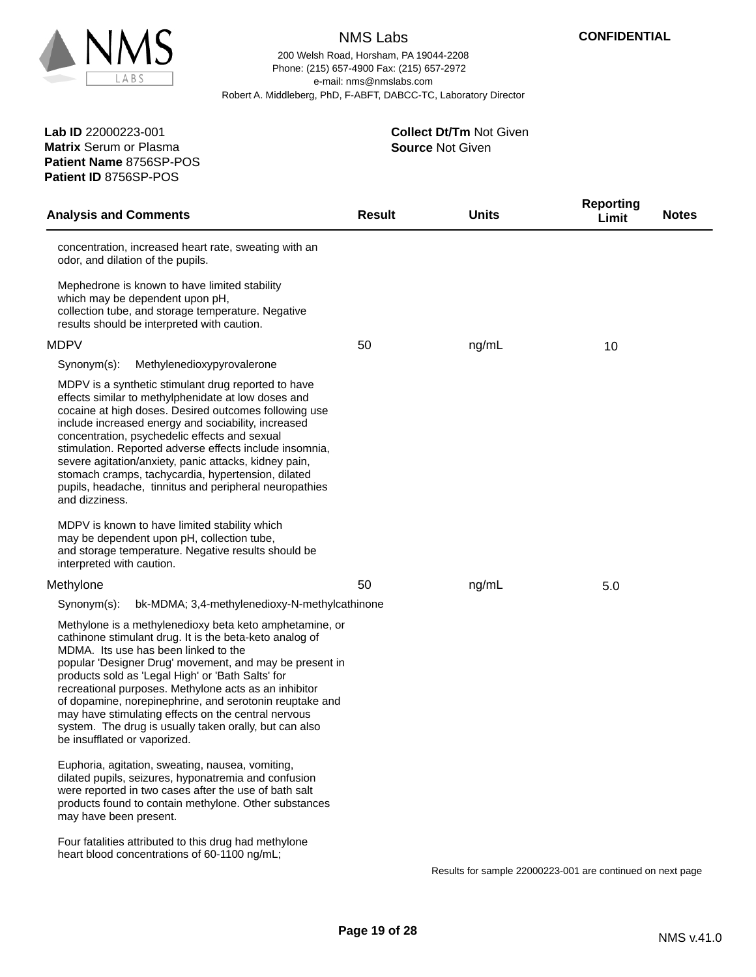

200 Welsh Road, Horsham, PA 19044-2208 e-mail: nms@nmslabs.com Robert A. Middleberg, PhD, F-ABFT, DABCC-TC, Laboratory Director Phone: (215) 657-4900 Fax: (215) 657-2972

**Patient Name** 8756SP-POS **Lab ID** 22000223-001 **Matrix** Serum or Plasma **Patient ID** 8756SP-POS

#### **Source** Not Given **Collect Dt/Tm** Not Given

| <b>Analysis and Comments</b>                                                                                                                                                                                                                                                                                                                                                                                                                                                                                                                    | <b>Result</b> | <b>Units</b> | <b>Reporting</b><br>Limit | <b>Notes</b> |
|-------------------------------------------------------------------------------------------------------------------------------------------------------------------------------------------------------------------------------------------------------------------------------------------------------------------------------------------------------------------------------------------------------------------------------------------------------------------------------------------------------------------------------------------------|---------------|--------------|---------------------------|--------------|
| concentration, increased heart rate, sweating with an<br>odor, and dilation of the pupils.                                                                                                                                                                                                                                                                                                                                                                                                                                                      |               |              |                           |              |
| Mephedrone is known to have limited stability<br>which may be dependent upon pH,<br>collection tube, and storage temperature. Negative<br>results should be interpreted with caution.                                                                                                                                                                                                                                                                                                                                                           |               |              |                           |              |
| <b>MDPV</b>                                                                                                                                                                                                                                                                                                                                                                                                                                                                                                                                     | 50            | ng/mL        | 10                        |              |
| Methylenedioxypyrovalerone<br>Synonym(s):                                                                                                                                                                                                                                                                                                                                                                                                                                                                                                       |               |              |                           |              |
| MDPV is a synthetic stimulant drug reported to have<br>effects similar to methylphenidate at low doses and<br>cocaine at high doses. Desired outcomes following use<br>include increased energy and sociability, increased<br>concentration, psychedelic effects and sexual<br>stimulation. Reported adverse effects include insomnia,<br>severe agitation/anxiety, panic attacks, kidney pain,<br>stomach cramps, tachycardia, hypertension, dilated<br>pupils, headache, tinnitus and peripheral neuropathies<br>and dizziness.               |               |              |                           |              |
| MDPV is known to have limited stability which<br>may be dependent upon pH, collection tube,<br>and storage temperature. Negative results should be<br>interpreted with caution.                                                                                                                                                                                                                                                                                                                                                                 |               |              |                           |              |
| Methylone                                                                                                                                                                                                                                                                                                                                                                                                                                                                                                                                       | 50            | ng/mL        | 5.0                       |              |
| Synonym(s):<br>bk-MDMA; 3,4-methylenedioxy-N-methylcathinone                                                                                                                                                                                                                                                                                                                                                                                                                                                                                    |               |              |                           |              |
| Methylone is a methylenedioxy beta keto amphetamine, or<br>cathinone stimulant drug. It is the beta-keto analog of<br>MDMA. Its use has been linked to the<br>popular 'Designer Drug' movement, and may be present in<br>products sold as 'Legal High' or 'Bath Salts' for<br>recreational purposes. Methylone acts as an inhibitor<br>of dopamine, norepinephrine, and serotonin reuptake and<br>may have stimulating effects on the central nervous<br>system. The drug is usually taken orally, but can also<br>be insufflated or vaporized. |               |              |                           |              |
| Euphoria, agitation, sweating, nausea, vomiting,<br>dilated pupils, seizures, hyponatremia and confusion<br>were reported in two cases after the use of bath salt<br>products found to contain methylone. Other substances<br>may have been present.                                                                                                                                                                                                                                                                                            |               |              |                           |              |
| Four fatalities attributed to this drug had methylone<br>heart blood concentrations of 60-1100 ng/mL;                                                                                                                                                                                                                                                                                                                                                                                                                                           |               |              |                           |              |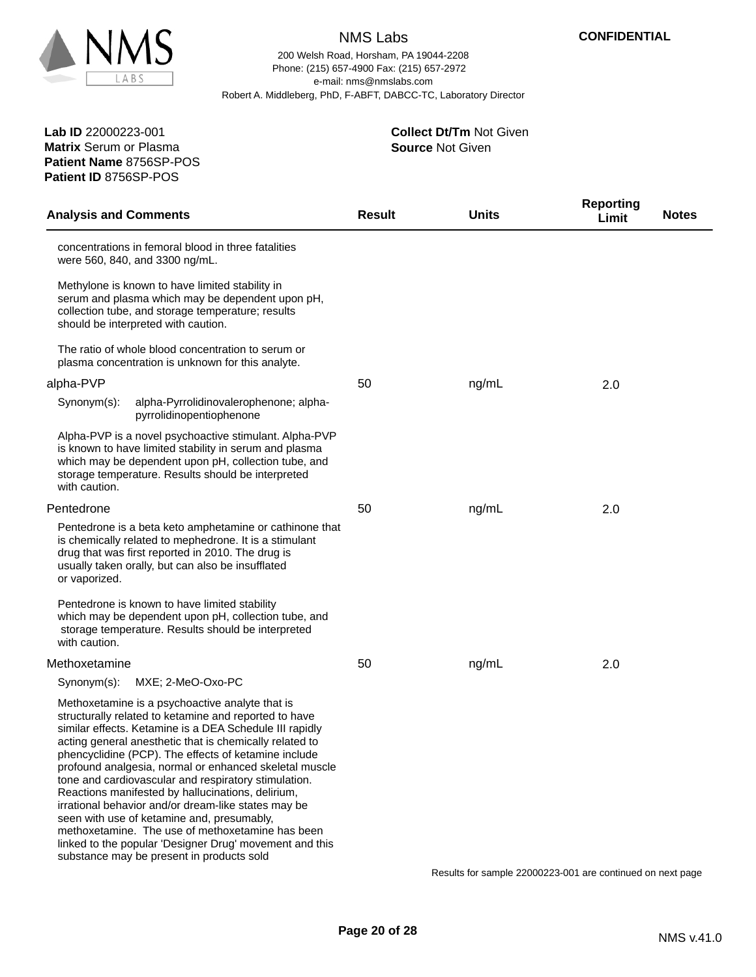

**Patient Name** 8756SP-POS

**Patient ID** 8756SP-POS

# NMS Labs

200 Welsh Road, Horsham, PA 19044-2208 e-mail: nms@nmslabs.com Robert A. Middleberg, PhD, F-ABFT, DABCC-TC, Laboratory Director Phone: (215) 657-4900 Fax: (215) 657-2972

> **Source** Not Given **Collect Dt/Tm** Not Given

| <b>Analysis and Comments</b>                                                                                                                                                                                                                                                                                                                                                                                                                                                                                                                                                                                                                                                                                                   | <b>Result</b> | <b>Units</b> | <b>Reporting</b><br>Limit | <b>Notes</b> |
|--------------------------------------------------------------------------------------------------------------------------------------------------------------------------------------------------------------------------------------------------------------------------------------------------------------------------------------------------------------------------------------------------------------------------------------------------------------------------------------------------------------------------------------------------------------------------------------------------------------------------------------------------------------------------------------------------------------------------------|---------------|--------------|---------------------------|--------------|
| concentrations in femoral blood in three fatalities<br>were 560, 840, and 3300 ng/mL.                                                                                                                                                                                                                                                                                                                                                                                                                                                                                                                                                                                                                                          |               |              |                           |              |
| Methylone is known to have limited stability in<br>serum and plasma which may be dependent upon pH,<br>collection tube, and storage temperature; results<br>should be interpreted with caution.                                                                                                                                                                                                                                                                                                                                                                                                                                                                                                                                |               |              |                           |              |
| The ratio of whole blood concentration to serum or<br>plasma concentration is unknown for this analyte.                                                                                                                                                                                                                                                                                                                                                                                                                                                                                                                                                                                                                        |               |              |                           |              |
| alpha-PVP                                                                                                                                                                                                                                                                                                                                                                                                                                                                                                                                                                                                                                                                                                                      | 50            | ng/mL        | 2.0                       |              |
| alpha-Pyrrolidinovalerophenone; alpha-<br>Synonym(s):<br>pyrrolidinopentiophenone                                                                                                                                                                                                                                                                                                                                                                                                                                                                                                                                                                                                                                              |               |              |                           |              |
| Alpha-PVP is a novel psychoactive stimulant. Alpha-PVP<br>is known to have limited stability in serum and plasma<br>which may be dependent upon pH, collection tube, and<br>storage temperature. Results should be interpreted<br>with caution.                                                                                                                                                                                                                                                                                                                                                                                                                                                                                |               |              |                           |              |
| Pentedrone                                                                                                                                                                                                                                                                                                                                                                                                                                                                                                                                                                                                                                                                                                                     | 50            | ng/mL        | 2.0                       |              |
| Pentedrone is a beta keto amphetamine or cathinone that<br>is chemically related to mephedrone. It is a stimulant<br>drug that was first reported in 2010. The drug is<br>usually taken orally, but can also be insufflated<br>or vaporized.                                                                                                                                                                                                                                                                                                                                                                                                                                                                                   |               |              |                           |              |
| Pentedrone is known to have limited stability<br>which may be dependent upon pH, collection tube, and<br>storage temperature. Results should be interpreted<br>with caution.                                                                                                                                                                                                                                                                                                                                                                                                                                                                                                                                                   |               |              |                           |              |
| Methoxetamine                                                                                                                                                                                                                                                                                                                                                                                                                                                                                                                                                                                                                                                                                                                  | 50            | ng/mL        | 2.0                       |              |
| Synonym(s):<br>MXE; 2-MeO-Oxo-PC                                                                                                                                                                                                                                                                                                                                                                                                                                                                                                                                                                                                                                                                                               |               |              |                           |              |
| Methoxetamine is a psychoactive analyte that is<br>structurally related to ketamine and reported to have<br>similar effects. Ketamine is a DEA Schedule III rapidly<br>acting general anesthetic that is chemically related to<br>phencyclidine (PCP). The effects of ketamine include<br>profound analgesia, normal or enhanced skeletal muscle<br>tone and cardiovascular and respiratory stimulation.<br>Reactions manifested by hallucinations, delirium,<br>irrational behavior and/or dream-like states may be<br>seen with use of ketamine and, presumably,<br>methoxetamine. The use of methoxetamine has been<br>linked to the popular 'Designer Drug' movement and this<br>substance may be present in products sold |               |              |                           |              |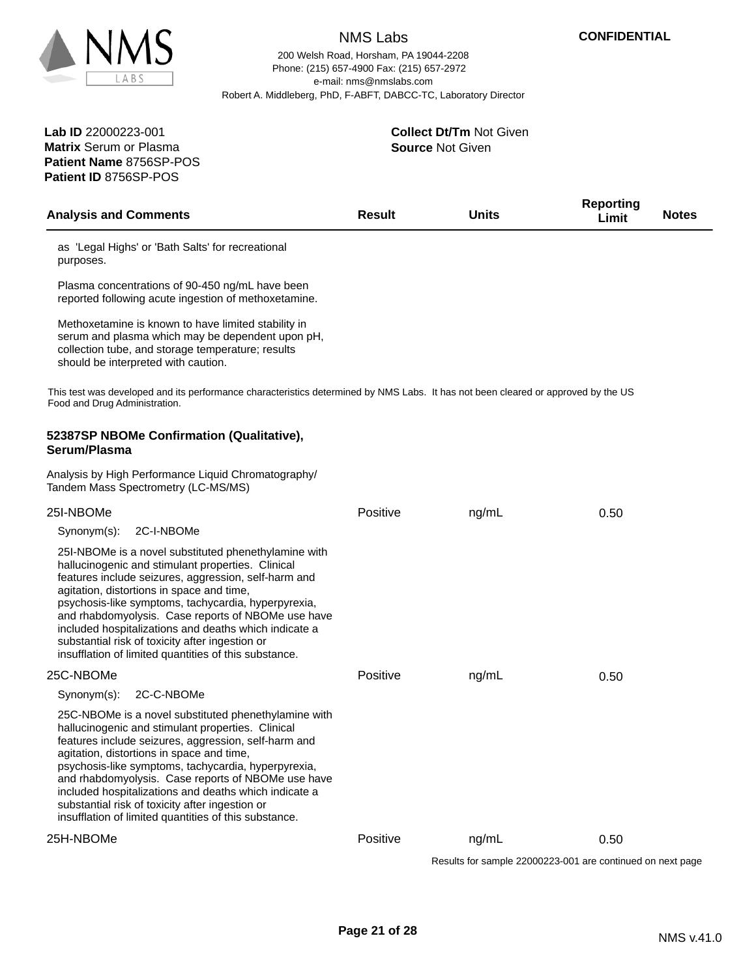

200 Welsh Road, Horsham, PA 19044-2208 e-mail: nms@nmslabs.com Robert A. Middleberg, PhD, F-ABFT, DABCC-TC, Laboratory Director Phone: (215) 657-4900 Fax: (215) 657-2972

**Patient Name** 8756SP-POS **Lab ID** 22000223-001 **Matrix** Serum or Plasma **Patient ID** 8756SP-POS

**Source** Not Given **Collect Dt/Tm** Not Given

| <b>Analysis and Comments</b>                                                                                                                                                                                                                                                                                                                                                                                                                                                                     | <b>Result</b> | <b>Units</b> | <b>Reporting</b><br>Limit | <b>Notes</b> |
|--------------------------------------------------------------------------------------------------------------------------------------------------------------------------------------------------------------------------------------------------------------------------------------------------------------------------------------------------------------------------------------------------------------------------------------------------------------------------------------------------|---------------|--------------|---------------------------|--------------|
| as 'Legal Highs' or 'Bath Salts' for recreational<br>purposes.                                                                                                                                                                                                                                                                                                                                                                                                                                   |               |              |                           |              |
| Plasma concentrations of 90-450 ng/mL have been<br>reported following acute ingestion of methoxetamine.                                                                                                                                                                                                                                                                                                                                                                                          |               |              |                           |              |
| Methoxetamine is known to have limited stability in<br>serum and plasma which may be dependent upon pH,<br>collection tube, and storage temperature; results<br>should be interpreted with caution.                                                                                                                                                                                                                                                                                              |               |              |                           |              |
| This test was developed and its performance characteristics determined by NMS Labs. It has not been cleared or approved by the US<br>Food and Drug Administration.                                                                                                                                                                                                                                                                                                                               |               |              |                           |              |
| 52387SP NBOMe Confirmation (Qualitative),<br>Serum/Plasma                                                                                                                                                                                                                                                                                                                                                                                                                                        |               |              |                           |              |
| Analysis by High Performance Liquid Chromatography/<br>Tandem Mass Spectrometry (LC-MS/MS)                                                                                                                                                                                                                                                                                                                                                                                                       |               |              |                           |              |
| 25I-NBOMe                                                                                                                                                                                                                                                                                                                                                                                                                                                                                        | Positive      | ng/mL        | 0.50                      |              |
| 2C-I-NBOMe<br>Synonym(s):                                                                                                                                                                                                                                                                                                                                                                                                                                                                        |               |              |                           |              |
| 25I-NBOMe is a novel substituted phenethylamine with<br>hallucinogenic and stimulant properties. Clinical<br>features include seizures, aggression, self-harm and<br>agitation, distortions in space and time,<br>psychosis-like symptoms, tachycardia, hyperpyrexia,<br>and rhabdomyolysis. Case reports of NBOMe use have<br>included hospitalizations and deaths which indicate a<br>substantial risk of toxicity after ingestion or<br>insufflation of limited quantities of this substance. |               |              |                           |              |
| 25C-NBOMe                                                                                                                                                                                                                                                                                                                                                                                                                                                                                        | Positive      | ng/mL        | 0.50                      |              |
| 2C-C-NBOMe<br>Synonym(s):                                                                                                                                                                                                                                                                                                                                                                                                                                                                        |               |              |                           |              |
| 25C-NBOMe is a novel substituted phenethylamine with<br>hallucinogenic and stimulant properties. Clinical<br>features include seizures, aggression, self-harm and<br>agitation, distortions in space and time,<br>psychosis-like symptoms, tachycardia, hyperpyrexia,<br>and rhabdomyolysis. Case reports of NBOMe use have<br>included hospitalizations and deaths which indicate a<br>substantial risk of toxicity after ingestion or<br>insufflation of limited quantities of this substance. |               |              |                           |              |
| 25H-NBOMe                                                                                                                                                                                                                                                                                                                                                                                                                                                                                        | Positive      | ng/mL        | 0.50                      |              |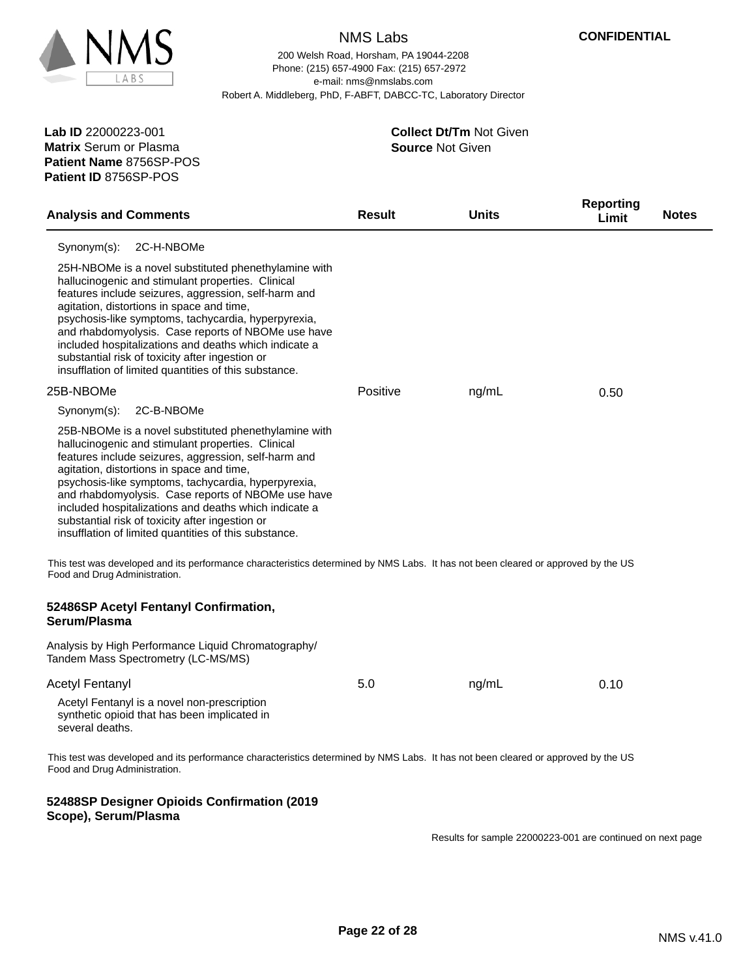

200 Welsh Road, Horsham, PA 19044-2208 e-mail: nms@nmslabs.com Robert A. Middleberg, PhD, F-ABFT, DABCC-TC, Laboratory Director Phone: (215) 657-4900 Fax: (215) 657-2972

**Patient Name** 8756SP-POS **Lab ID** 22000223-001 **Matrix** Serum or Plasma **Patient ID** 8756SP-POS

**Scope), Serum/Plasma**

#### **Source** Not Given **Collect Dt/Tm** Not Given

| <b>Analysis and Comments</b>                                                                                                                                                                                                                                                                                                                                                                                                                                                                     | <b>Result</b> | <b>Units</b> | <b>Reporting</b><br>Limit | <b>Notes</b> |
|--------------------------------------------------------------------------------------------------------------------------------------------------------------------------------------------------------------------------------------------------------------------------------------------------------------------------------------------------------------------------------------------------------------------------------------------------------------------------------------------------|---------------|--------------|---------------------------|--------------|
| Synonym(s):<br>2C-H-NBOMe                                                                                                                                                                                                                                                                                                                                                                                                                                                                        |               |              |                           |              |
| 25H-NBOMe is a novel substituted phenethylamine with<br>hallucinogenic and stimulant properties. Clinical<br>features include seizures, aggression, self-harm and<br>agitation, distortions in space and time,<br>psychosis-like symptoms, tachycardia, hyperpyrexia,<br>and rhabdomyolysis. Case reports of NBOMe use have<br>included hospitalizations and deaths which indicate a<br>substantial risk of toxicity after ingestion or<br>insufflation of limited quantities of this substance. |               |              |                           |              |
| 25B-NBOMe                                                                                                                                                                                                                                                                                                                                                                                                                                                                                        | Positive      | ng/mL        | 0.50                      |              |
| Synonym(s):<br>2C-B-NBOMe                                                                                                                                                                                                                                                                                                                                                                                                                                                                        |               |              |                           |              |
| 25B-NBOMe is a novel substituted phenethylamine with<br>hallucinogenic and stimulant properties. Clinical<br>features include seizures, aggression, self-harm and<br>agitation, distortions in space and time,<br>psychosis-like symptoms, tachycardia, hyperpyrexia,<br>and rhabdomyolysis. Case reports of NBOMe use have<br>included hospitalizations and deaths which indicate a<br>substantial risk of toxicity after ingestion or<br>insufflation of limited quantities of this substance. |               |              |                           |              |
| This test was developed and its performance characteristics determined by NMS Labs. It has not been cleared or approved by the US<br>Food and Drug Administration.                                                                                                                                                                                                                                                                                                                               |               |              |                           |              |
| 52486SP Acetyl Fentanyl Confirmation,<br>Serum/Plasma                                                                                                                                                                                                                                                                                                                                                                                                                                            |               |              |                           |              |
| Analysis by High Performance Liquid Chromatography/<br>Tandem Mass Spectrometry (LC-MS/MS)                                                                                                                                                                                                                                                                                                                                                                                                       |               |              |                           |              |
| <b>Acetyl Fentanyl</b>                                                                                                                                                                                                                                                                                                                                                                                                                                                                           | 5.0           | ng/mL        | 0.10                      |              |
| Acetyl Fentanyl is a novel non-prescription<br>synthetic opioid that has been implicated in<br>several deaths.                                                                                                                                                                                                                                                                                                                                                                                   |               |              |                           |              |
| This test was developed and its performance characteristics determined by NMS Labs. It has not been cleared or approved by the US<br>Food and Drug Administration.                                                                                                                                                                                                                                                                                                                               |               |              |                           |              |
| 52488SP Designer Opioids Confirmation (2019                                                                                                                                                                                                                                                                                                                                                                                                                                                      |               |              |                           |              |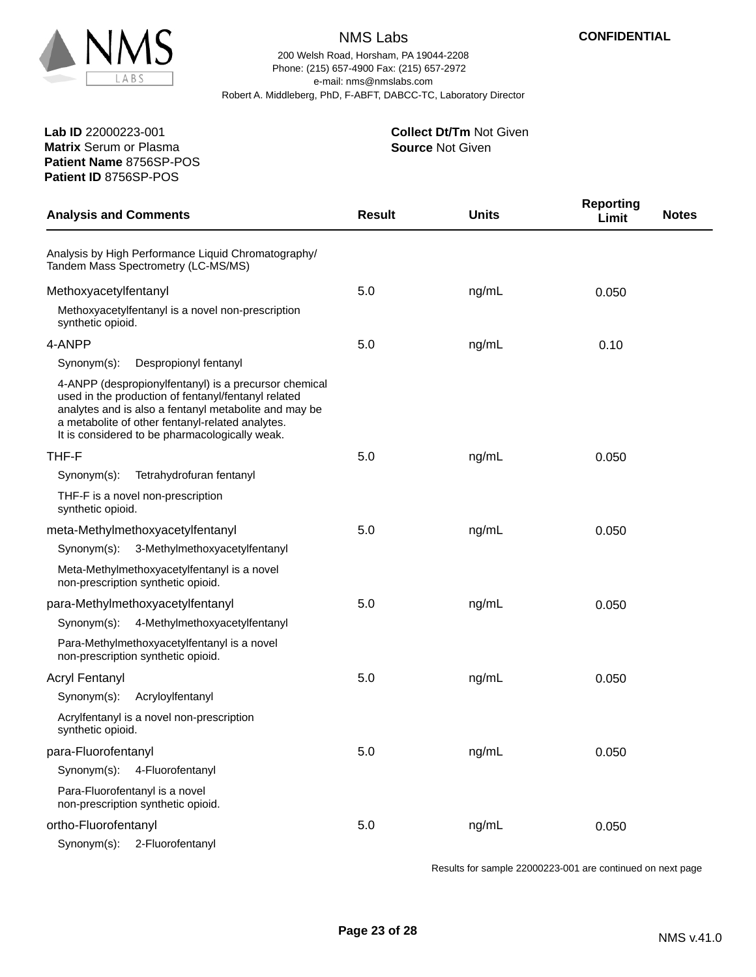

**Patient Name** 8756SP-POS

**Patient ID** 8756SP-POS

# NMS Labs

200 Welsh Road, Horsham, PA 19044-2208 e-mail: nms@nmslabs.com Robert A. Middleberg, PhD, F-ABFT, DABCC-TC, Laboratory Director Phone: (215) 657-4900 Fax: (215) 657-2972

> **Source** Not Given **Collect Dt/Tm** Not Given

| <b>Analysis and Comments</b>                                                                                                                                                                                                                                                | <b>Result</b> | <b>Units</b> | <b>Reporting</b><br><b>Notes</b><br>Limit |
|-----------------------------------------------------------------------------------------------------------------------------------------------------------------------------------------------------------------------------------------------------------------------------|---------------|--------------|-------------------------------------------|
| Analysis by High Performance Liquid Chromatography/<br>Tandem Mass Spectrometry (LC-MS/MS)                                                                                                                                                                                  |               |              |                                           |
| Methoxyacetylfentanyl                                                                                                                                                                                                                                                       | 5.0           | ng/mL        | 0.050                                     |
| Methoxyacetylfentanyl is a novel non-prescription<br>synthetic opioid.                                                                                                                                                                                                      |               |              |                                           |
| 4-ANPP                                                                                                                                                                                                                                                                      | 5.0           | ng/mL        | 0.10                                      |
| Despropionyl fentanyl<br>Synonym(s):                                                                                                                                                                                                                                        |               |              |                                           |
| 4-ANPP (despropionylfentanyl) is a precursor chemical<br>used in the production of fentanyl/fentanyl related<br>analytes and is also a fentanyl metabolite and may be<br>a metabolite of other fentanyl-related analytes.<br>It is considered to be pharmacologically weak. |               |              |                                           |
| THF-F                                                                                                                                                                                                                                                                       | 5.0           | ng/mL        | 0.050                                     |
| Tetrahydrofuran fentanyl<br>$Synonym(s)$ :                                                                                                                                                                                                                                  |               |              |                                           |
| THF-F is a novel non-prescription<br>synthetic opioid.                                                                                                                                                                                                                      |               |              |                                           |
| meta-Methylmethoxyacetylfentanyl                                                                                                                                                                                                                                            | 5.0           | ng/mL        | 0.050                                     |
| Synonym(s):<br>3-Methylmethoxyacetylfentanyl                                                                                                                                                                                                                                |               |              |                                           |
| Meta-Methylmethoxyacetylfentanyl is a novel<br>non-prescription synthetic opioid.                                                                                                                                                                                           |               |              |                                           |
| para-Methylmethoxyacetylfentanyl                                                                                                                                                                                                                                            | 5.0           | ng/mL        | 0.050                                     |
| Synonym(s):<br>4-Methylmethoxyacetylfentanyl                                                                                                                                                                                                                                |               |              |                                           |
| Para-Methylmethoxyacetylfentanyl is a novel<br>non-prescription synthetic opioid.                                                                                                                                                                                           |               |              |                                           |
| <b>Acryl Fentanyl</b>                                                                                                                                                                                                                                                       | 5.0           | ng/mL        | 0.050                                     |
| Acryloylfentanyl<br>Synonym(s):                                                                                                                                                                                                                                             |               |              |                                           |
| Acrylfentanyl is a novel non-prescription<br>synthetic opioid.                                                                                                                                                                                                              |               |              |                                           |
| para-Fluorofentanyl                                                                                                                                                                                                                                                         | 5.0           | ng/mL        | 0.050                                     |
| Synonym(s):<br>4-Fluorofentanyl                                                                                                                                                                                                                                             |               |              |                                           |
| Para-Fluorofentanyl is a novel<br>non-prescription synthetic opioid.                                                                                                                                                                                                        |               |              |                                           |
| ortho-Fluorofentanyl                                                                                                                                                                                                                                                        | 5.0           | ng/mL        | 0.050                                     |
| Synonym(s):<br>2-Fluorofentanyl                                                                                                                                                                                                                                             |               |              |                                           |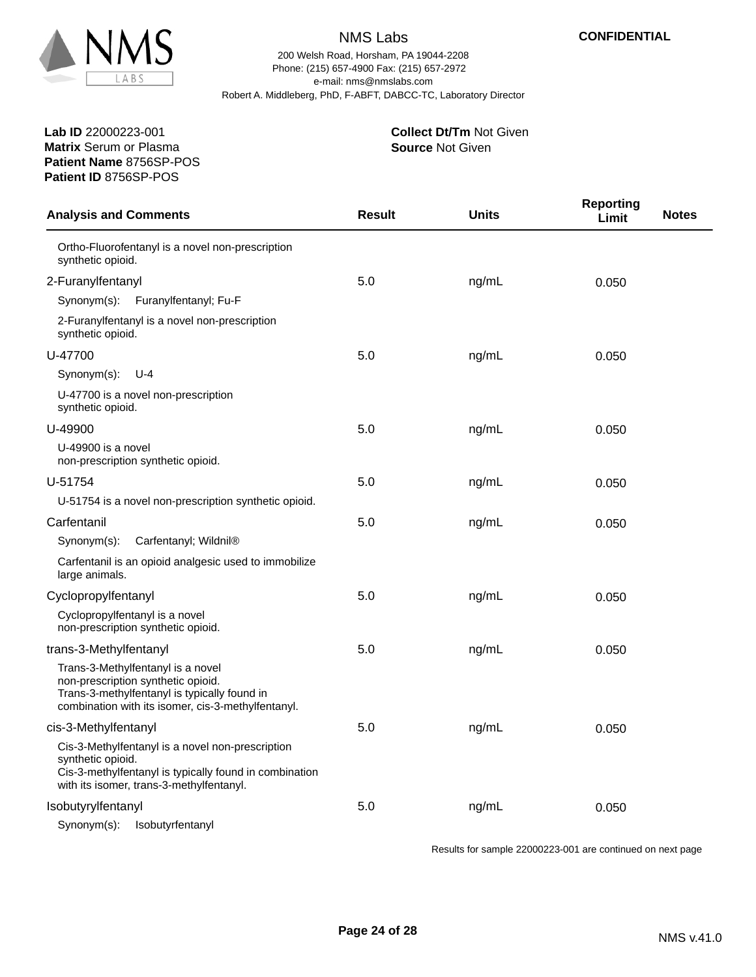

200 Welsh Road, Horsham, PA 19044-2208 e-mail: nms@nmslabs.com Robert A. Middleberg, PhD, F-ABFT, DABCC-TC, Laboratory Director Phone: (215) 657-4900 Fax: (215) 657-2972

**Patient Name** 8756SP-POS **Lab ID** 22000223-001 **Matrix** Serum or Plasma **Patient ID** 8756SP-POS

#### **Source** Not Given **Collect Dt/Tm** Not Given

| <b>Analysis and Comments</b>                                                                                                                                                  | <b>Result</b> | <b>Units</b> | <b>Reporting</b><br><b>Notes</b><br>Limit |
|-------------------------------------------------------------------------------------------------------------------------------------------------------------------------------|---------------|--------------|-------------------------------------------|
| Ortho-Fluorofentanyl is a novel non-prescription<br>synthetic opioid.                                                                                                         |               |              |                                           |
| 2-Furanylfentanyl                                                                                                                                                             | 5.0           | ng/mL        | 0.050                                     |
| Synonym(s): Furanylfentanyl; Fu-F                                                                                                                                             |               |              |                                           |
| 2-Furanylfentanyl is a novel non-prescription<br>synthetic opioid.                                                                                                            |               |              |                                           |
| U-47700                                                                                                                                                                       | 5.0           | ng/mL        | 0.050                                     |
| Synonym(s):<br>$U - 4$                                                                                                                                                        |               |              |                                           |
| U-47700 is a novel non-prescription<br>synthetic opioid.                                                                                                                      |               |              |                                           |
| U-49900                                                                                                                                                                       | 5.0           | ng/mL        | 0.050                                     |
| U-49900 is a novel<br>non-prescription synthetic opioid.                                                                                                                      |               |              |                                           |
| U-51754                                                                                                                                                                       | 5.0           | ng/mL        | 0.050                                     |
| U-51754 is a novel non-prescription synthetic opioid.                                                                                                                         |               |              |                                           |
| Carfentanil                                                                                                                                                                   | 5.0           | ng/mL        | 0.050                                     |
| Carfentanyl; Wildnil®<br>Synonym(s):                                                                                                                                          |               |              |                                           |
| Carfentanil is an opioid analgesic used to immobilize<br>large animals.                                                                                                       |               |              |                                           |
| Cyclopropylfentanyl                                                                                                                                                           | 5.0           | ng/mL        | 0.050                                     |
| Cyclopropylfentanyl is a novel<br>non-prescription synthetic opioid.                                                                                                          |               |              |                                           |
| trans-3-Methylfentanyl                                                                                                                                                        | 5.0           | ng/mL        | 0.050                                     |
| Trans-3-Methylfentanyl is a novel<br>non-prescription synthetic opioid.<br>Trans-3-methylfentanyl is typically found in<br>combination with its isomer, cis-3-methylfentanyl. |               |              |                                           |
| cis-3-Methylfentanyl                                                                                                                                                          | 5.0           | ng/mL        | 0.050                                     |
| Cis-3-Methylfentanyl is a novel non-prescription<br>synthetic opioid.<br>Cis-3-methylfentanyl is typically found in combination<br>with its isomer, trans-3-methylfentanyl.   |               |              |                                           |
| Isobutyrylfentanyl                                                                                                                                                            | 5.0           | ng/mL        | 0.050                                     |
| Isobutyrfentanyl<br>Synonym(s):                                                                                                                                               |               |              |                                           |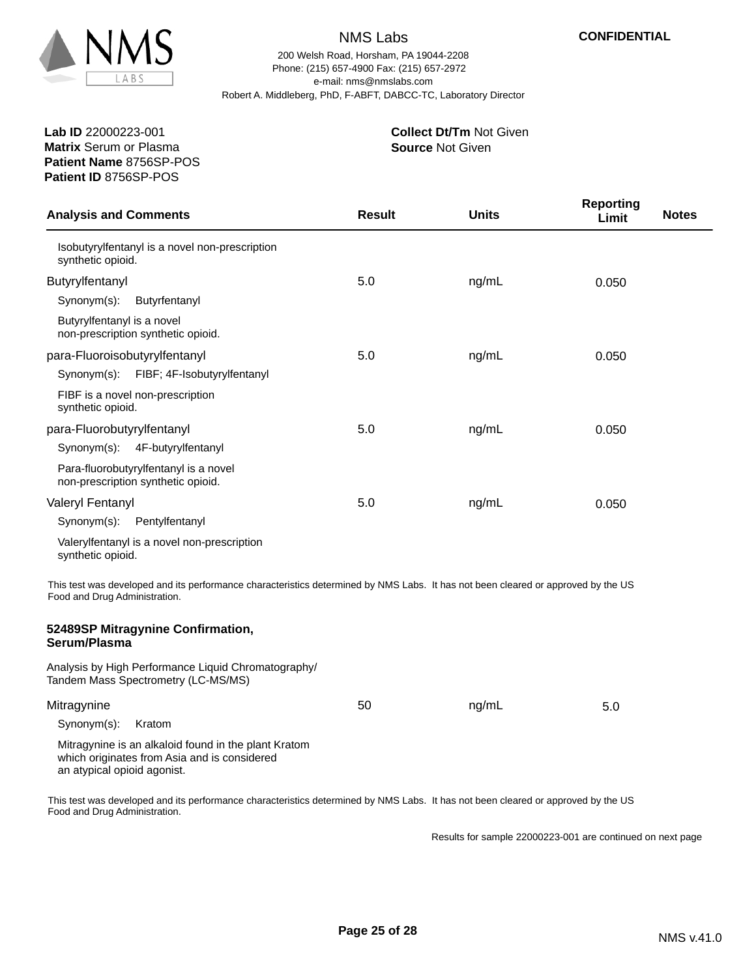

200 Welsh Road, Horsham, PA 19044-2208 e-mail: nms@nmslabs.com Robert A. Middleberg, PhD, F-ABFT, DABCC-TC, Laboratory Director Phone: (215) 657-4900 Fax: (215) 657-2972

**Patient Name** 8756SP-POS **Lab ID** 22000223-001 **Matrix** Serum or Plasma **Patient ID** 8756SP-POS

#### **Source** Not Given **Collect Dt/Tm** Not Given

| <b>Analysis and Comments</b>  |                                                                                                                                   | <b>Result</b> | <b>Units</b> | <b>Reporting</b><br>Limit | <b>Notes</b> |
|-------------------------------|-----------------------------------------------------------------------------------------------------------------------------------|---------------|--------------|---------------------------|--------------|
| synthetic opioid.             | Isobutyrylfentanyl is a novel non-prescription                                                                                    |               |              |                           |              |
| Butyrylfentanyl               |                                                                                                                                   | 5.0           | ng/mL        | 0.050                     |              |
| Synonym(s):                   | Butyrfentanyl                                                                                                                     |               |              |                           |              |
| Butyrylfentanyl is a novel    | non-prescription synthetic opioid.                                                                                                |               |              |                           |              |
| para-Fluoroisobutyrylfentanyl |                                                                                                                                   | 5.0           | ng/mL        | 0.050                     |              |
| Synonym(s):                   | FIBF; 4F-Isobutyrylfentanyl                                                                                                       |               |              |                           |              |
| synthetic opioid.             | FIBF is a novel non-prescription                                                                                                  |               |              |                           |              |
| para-Fluorobutyrylfentanyl    |                                                                                                                                   | 5.0           | ng/mL        | 0.050                     |              |
| Synonym(s):                   | 4F-butyrylfentanyl                                                                                                                |               |              |                           |              |
|                               | Para-fluorobutyrylfentanyl is a novel<br>non-prescription synthetic opioid.                                                       |               |              |                           |              |
| Valeryl Fentanyl              |                                                                                                                                   | 5.0           | ng/mL        | 0.050                     |              |
| Synonym(s):                   | Pentylfentanyl                                                                                                                    |               |              |                           |              |
| synthetic opioid.             | Valerylfentanyl is a novel non-prescription                                                                                       |               |              |                           |              |
| Food and Drug Administration. | This test was developed and its performance characteristics determined by NMS Labs. It has not been cleared or approved by the US |               |              |                           |              |
| Serum/Plasma                  | 52489SP Mitragynine Confirmation,                                                                                                 |               |              |                           |              |
|                               | Analysis by High Performance Liquid Chromatography/<br>Tandem Mass Spectrometry (LC-MS/MS)                                        |               |              |                           |              |
| Mitragynine                   |                                                                                                                                   | 50            | ng/mL        | 5.0                       |              |
| Synonym(s):                   | Kratom                                                                                                                            |               |              |                           |              |
| an atypical opioid agonist.   | Mitragynine is an alkaloid found in the plant Kratom<br>which originates from Asia and is considered                              |               |              |                           |              |

This test was developed and its performance characteristics determined by NMS Labs. It has not been cleared or approved by the US Food and Drug Administration.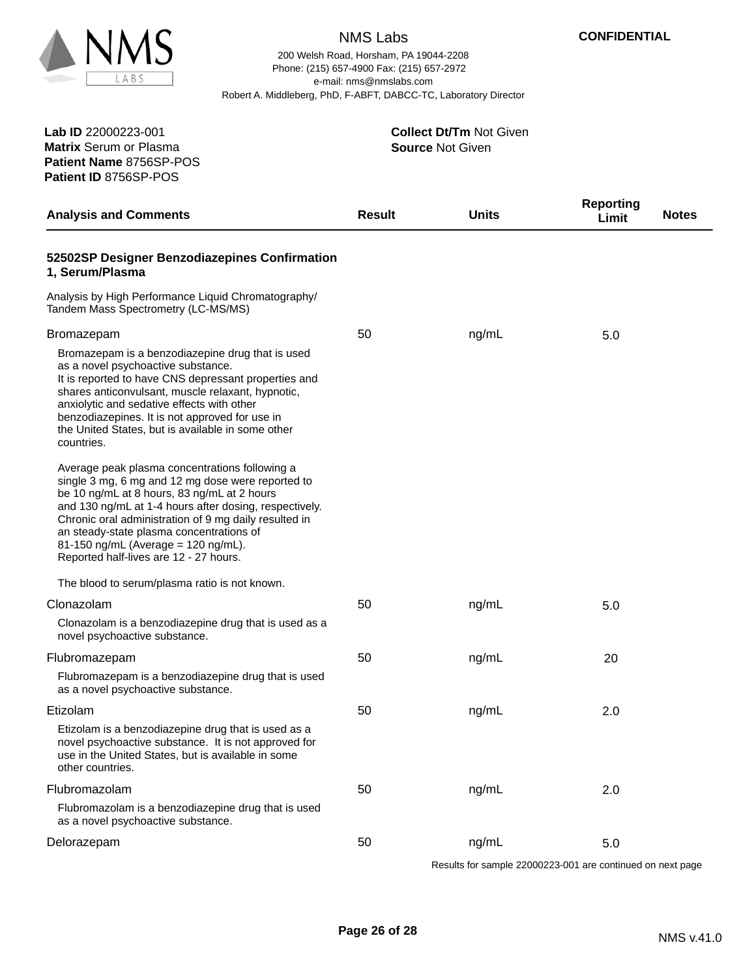

200 Welsh Road, Horsham, PA 19044-2208 e-mail: nms@nmslabs.com Robert A. Middleberg, PhD, F-ABFT, DABCC-TC, Laboratory Director Phone: (215) 657-4900 Fax: (215) 657-2972

**Patient Name** 8756SP-POS **Lab ID** 22000223-001 **Matrix** Serum or Plasma **Patient ID** 8756SP-POS

**Source** Not Given **Collect Dt/Tm** Not Given

| <b>Analysis and Comments</b>                                                                                                                                                                                                                                                                                                                                                                       | <b>Result</b> | <b>Units</b> | <b>Reporting</b><br>Limit | <b>Notes</b> |
|----------------------------------------------------------------------------------------------------------------------------------------------------------------------------------------------------------------------------------------------------------------------------------------------------------------------------------------------------------------------------------------------------|---------------|--------------|---------------------------|--------------|
| 52502SP Designer Benzodiazepines Confirmation<br>1, Serum/Plasma                                                                                                                                                                                                                                                                                                                                   |               |              |                           |              |
| Analysis by High Performance Liquid Chromatography/<br>Tandem Mass Spectrometry (LC-MS/MS)                                                                                                                                                                                                                                                                                                         |               |              |                           |              |
| Bromazepam                                                                                                                                                                                                                                                                                                                                                                                         | 50            | ng/mL        | 5.0                       |              |
| Bromazepam is a benzodiazepine drug that is used<br>as a novel psychoactive substance.<br>It is reported to have CNS depressant properties and<br>shares anticonvulsant, muscle relaxant, hypnotic,<br>anxiolytic and sedative effects with other<br>benzodiazepines. It is not approved for use in<br>the United States, but is available in some other<br>countries.                             |               |              |                           |              |
| Average peak plasma concentrations following a<br>single 3 mg, 6 mg and 12 mg dose were reported to<br>be 10 ng/mL at 8 hours, 83 ng/mL at 2 hours<br>and 130 ng/mL at 1-4 hours after dosing, respectively.<br>Chronic oral administration of 9 mg daily resulted in<br>an steady-state plasma concentrations of<br>81-150 ng/mL (Average = 120 ng/mL).<br>Reported half-lives are 12 - 27 hours. |               |              |                           |              |
| The blood to serum/plasma ratio is not known.                                                                                                                                                                                                                                                                                                                                                      |               |              |                           |              |
| Clonazolam                                                                                                                                                                                                                                                                                                                                                                                         | 50            | ng/mL        | 5.0                       |              |
| Clonazolam is a benzodiazepine drug that is used as a<br>novel psychoactive substance.                                                                                                                                                                                                                                                                                                             |               |              |                           |              |
| Flubromazepam                                                                                                                                                                                                                                                                                                                                                                                      | 50            | ng/mL        | 20                        |              |
| Flubromazepam is a benzodiazepine drug that is used<br>as a novel psychoactive substance.                                                                                                                                                                                                                                                                                                          |               |              |                           |              |
| Etizolam                                                                                                                                                                                                                                                                                                                                                                                           | 50            | ng/mL        | 2.0                       |              |
| Etizolam is a benzodiazepine drug that is used as a<br>novel psychoactive substance. It is not approved for<br>use in the United States, but is available in some<br>other countries.                                                                                                                                                                                                              |               |              |                           |              |
| Flubromazolam                                                                                                                                                                                                                                                                                                                                                                                      | 50            | ng/mL        | 2.0                       |              |
| Flubromazolam is a benzodiazepine drug that is used<br>as a novel psychoactive substance.                                                                                                                                                                                                                                                                                                          |               |              |                           |              |
| Delorazepam                                                                                                                                                                                                                                                                                                                                                                                        | 50            | ng/mL        | 5.0                       |              |
|                                                                                                                                                                                                                                                                                                                                                                                                    |               |              |                           |              |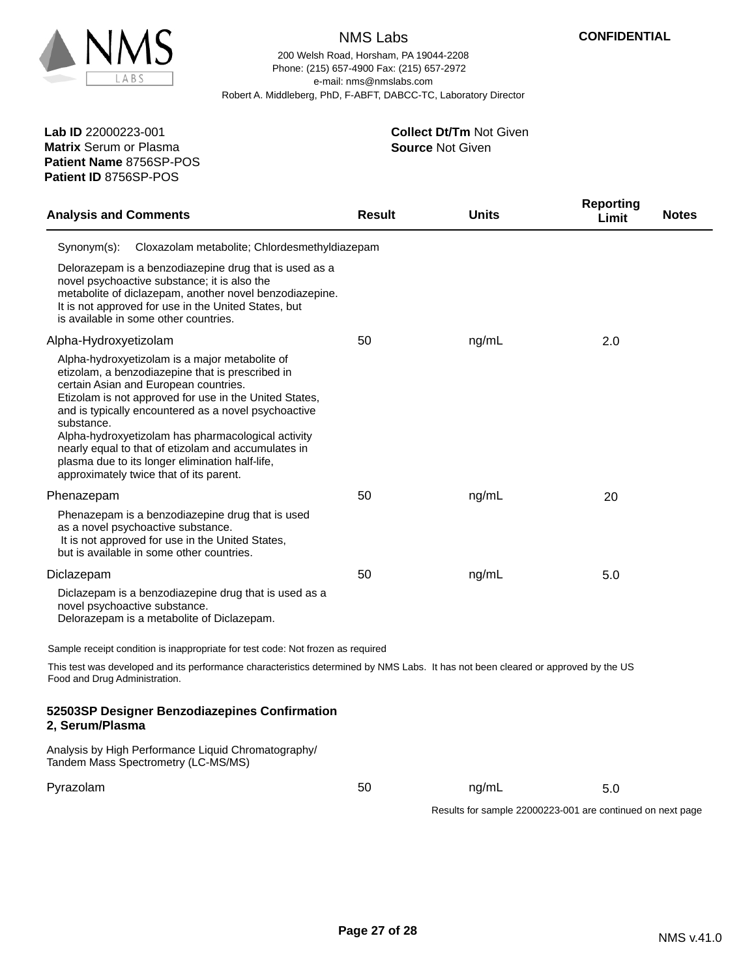

**Patient Name** 8756SP-POS

**Patient ID** 8756SP-POS

# NMS Labs

200 Welsh Road, Horsham, PA 19044-2208 e-mail: nms@nmslabs.com Robert A. Middleberg, PhD, F-ABFT, DABCC-TC, Laboratory Director Phone: (215) 657-4900 Fax: (215) 657-2972

| <b>Analysis and Comments</b>                                                                                                                                                                                                                                                                                                                                                                                                                                                           | <b>Result</b> | <b>Units</b>                                               | <b>Reporting</b><br>Limit | <b>Notes</b> |
|----------------------------------------------------------------------------------------------------------------------------------------------------------------------------------------------------------------------------------------------------------------------------------------------------------------------------------------------------------------------------------------------------------------------------------------------------------------------------------------|---------------|------------------------------------------------------------|---------------------------|--------------|
| Synonym(s):<br>Cloxazolam metabolite; Chlordesmethyldiazepam                                                                                                                                                                                                                                                                                                                                                                                                                           |               |                                                            |                           |              |
| Delorazepam is a benzodiazepine drug that is used as a<br>novel psychoactive substance; it is also the<br>metabolite of diclazepam, another novel benzodiazepine.<br>It is not approved for use in the United States, but<br>is available in some other countries.                                                                                                                                                                                                                     |               |                                                            |                           |              |
| Alpha-Hydroxyetizolam                                                                                                                                                                                                                                                                                                                                                                                                                                                                  | 50            | ng/mL                                                      | 2.0                       |              |
| Alpha-hydroxyetizolam is a major metabolite of<br>etizolam, a benzodiazepine that is prescribed in<br>certain Asian and European countries.<br>Etizolam is not approved for use in the United States,<br>and is typically encountered as a novel psychoactive<br>substance.<br>Alpha-hydroxyetizolam has pharmacological activity<br>nearly equal to that of etizolam and accumulates in<br>plasma due to its longer elimination half-life,<br>approximately twice that of its parent. |               |                                                            |                           |              |
| Phenazepam                                                                                                                                                                                                                                                                                                                                                                                                                                                                             | 50            | ng/mL                                                      | 20                        |              |
| Phenazepam is a benzodiazepine drug that is used<br>as a novel psychoactive substance.<br>It is not approved for use in the United States,<br>but is available in some other countries.                                                                                                                                                                                                                                                                                                |               |                                                            |                           |              |
| Diclazepam                                                                                                                                                                                                                                                                                                                                                                                                                                                                             | 50            | ng/mL                                                      | 5.0                       |              |
| Diclazepam is a benzodiazepine drug that is used as a<br>novel psychoactive substance.<br>Delorazepam is a metabolite of Diclazepam.                                                                                                                                                                                                                                                                                                                                                   |               |                                                            |                           |              |
| Sample receipt condition is inappropriate for test code: Not frozen as required                                                                                                                                                                                                                                                                                                                                                                                                        |               |                                                            |                           |              |
| This test was developed and its performance characteristics determined by NMS Labs. It has not been cleared or approved by the US<br>Food and Drug Administration.                                                                                                                                                                                                                                                                                                                     |               |                                                            |                           |              |
| 52503SP Designer Benzodiazepines Confirmation<br>2, Serum/Plasma                                                                                                                                                                                                                                                                                                                                                                                                                       |               |                                                            |                           |              |
| Analysis by High Performance Liquid Chromatography/<br>Tandem Mass Spectrometry (LC-MS/MS)                                                                                                                                                                                                                                                                                                                                                                                             |               |                                                            |                           |              |
| Pyrazolam                                                                                                                                                                                                                                                                                                                                                                                                                                                                              | 50            | ng/mL                                                      | 5.0                       |              |
|                                                                                                                                                                                                                                                                                                                                                                                                                                                                                        |               | Results for sample 22000223-001 are continued on next page |                           |              |